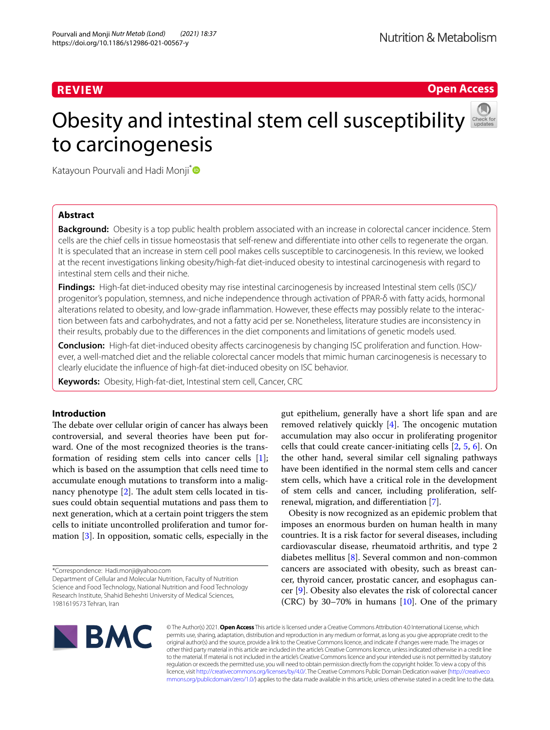**Open Access**

# Obesity and intestinal stem cell susceptibility to carcinogenesis



Katayoun Pourvali and Hadi Monji<sup>[\\*](http://orcid.org/0000-0002-2441-7578)</sup>

# **Abstract**

**Background:** Obesity is a top public health problem associated with an increase in colorectal cancer incidence. Stem cells are the chief cells in tissue homeostasis that self-renew and diferentiate into other cells to regenerate the organ. It is speculated that an increase in stem cell pool makes cells susceptible to carcinogenesis. In this review, we looked at the recent investigations linking obesity/high-fat diet-induced obesity to intestinal carcinogenesis with regard to intestinal stem cells and their niche.

**Findings:** High-fat diet-induced obesity may rise intestinal carcinogenesis by increased Intestinal stem cells (ISC)/ progenitor's population, stemness, and niche independence through activation of PPAR-δ with fatty acids, hormonal alterations related to obesity, and low-grade infammation. However, these efects may possibly relate to the interaction between fats and carbohydrates, and not a fatty acid per se. Nonetheless, literature studies are inconsistency in their results, probably due to the diferences in the diet components and limitations of genetic models used.

**Conclusion:** High-fat diet-induced obesity afects carcinogenesis by changing ISC proliferation and function. However, a well-matched diet and the reliable colorectal cancer models that mimic human carcinogenesis is necessary to clearly elucidate the infuence of high-fat diet-induced obesity on ISC behavior.

**Keywords:** Obesity, High-fat-diet, Intestinal stem cell, Cancer, CRC

# **Introduction**

The debate over cellular origin of cancer has always been controversial, and several theories have been put forward. One of the most recognized theories is the transformation of residing stem cells into cancer cells [\[1](#page-11-0)]; which is based on the assumption that cells need time to accumulate enough mutations to transform into a malignancy phenotype  $[2]$  $[2]$ . The adult stem cells located in tissues could obtain sequential mutations and pass them to next generation, which at a certain point triggers the stem cells to initiate uncontrolled proliferation and tumor formation [[3\]](#page-11-2). In opposition, somatic cells, especially in the

\*Correspondence: Hadi.monji@yahoo.com

Department of Cellular and Molecular Nutrition, Faculty of Nutrition Science and Food Technology, National Nutrition and Food Technology Research Institute, Shahid Beheshti University of Medical Sciences, 1981619573 Tehran, Iran

gut epithelium, generally have a short life span and are removed relatively quickly  $[4]$  $[4]$ . The oncogenic mutation accumulation may also occur in proliferating progenitor cells that could create cancer-initiating cells [[2,](#page-11-1) [5,](#page-11-4) [6](#page-11-5)]. On the other hand, several similar cell signaling pathways have been identifed in the normal stem cells and cancer stem cells, which have a critical role in the development of stem cells and cancer, including proliferation, selfrenewal, migration, and diferentiation [[7\]](#page-11-6).

Obesity is now recognized as an epidemic problem that imposes an enormous burden on human health in many countries. It is a risk factor for several diseases, including cardiovascular disease, rheumatoid arthritis, and type 2 diabetes mellitus [[8\]](#page-11-7). Several common and non-common cancers are associated with obesity, such as breast cancer, thyroid cancer, prostatic cancer, and esophagus cancer [\[9](#page-11-8)]. Obesity also elevates the risk of colorectal cancer (CRC) by 30–70% in humans  $[10]$  $[10]$ . One of the primary



© The Author(s) 2021. **Open Access** This article is licensed under a Creative Commons Attribution 4.0 International License, which permits use, sharing, adaptation, distribution and reproduction in any medium or format, as long as you give appropriate credit to the original author(s) and the source, provide a link to the Creative Commons licence, and indicate if changes were made. The images or other third party material in this article are included in the article's Creative Commons licence, unless indicated otherwise in a credit line to the material. If material is not included in the article's Creative Commons licence and your intended use is not permitted by statutory regulation or exceeds the permitted use, you will need to obtain permission directly from the copyright holder. To view a copy of this licence, visit [http://creativecommons.org/licenses/by/4.0/.](http://creativecommons.org/licenses/by/4.0/) The Creative Commons Public Domain Dedication waiver ([http://creativeco](http://creativecommons.org/publicdomain/zero/1.0/) [mmons.org/publicdomain/zero/1.0/](http://creativecommons.org/publicdomain/zero/1.0/)) applies to the data made available in this article, unless otherwise stated in a credit line to the data.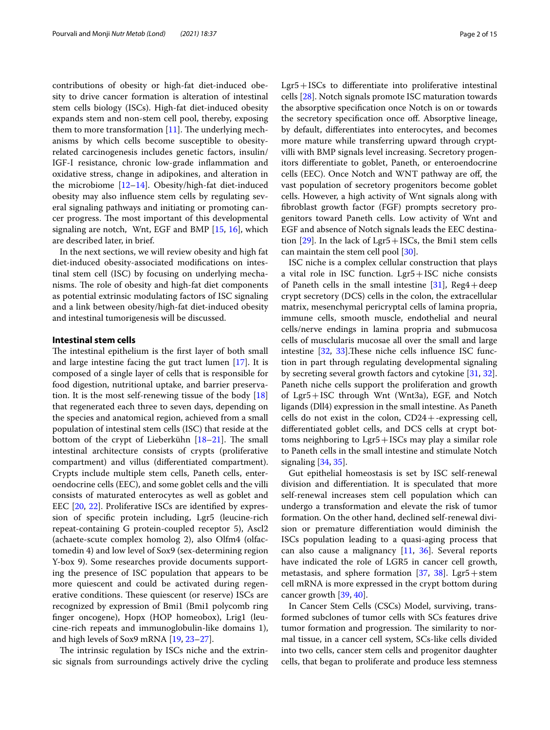contributions of obesity or high-fat diet-induced obesity to drive cancer formation is alteration of intestinal stem cells biology (ISCs). High-fat diet-induced obesity expands stem and non-stem cell pool, thereby, exposing them to more transformation  $[11]$  $[11]$ . The underlying mechanisms by which cells become susceptible to obesityrelated carcinogenesis includes genetic factors, insulin/ IGF-I resistance, chronic low-grade infammation and oxidative stress, change in adipokines, and alteration in the microbiome [\[12](#page-11-11)[–14\]](#page-11-12). Obesity/high-fat diet-induced obesity may also infuence stem cells by regulating several signaling pathways and initiating or promoting cancer progress. The most important of this developmental signaling are notch, Wnt, EGF and BMP [[15](#page-11-13), [16](#page-11-14)], which are described later, in brief.

In the next sections, we will review obesity and high fat diet-induced obesity-associated modifcations on intestinal stem cell (ISC) by focusing on underlying mechanisms. The role of obesity and high-fat diet components as potential extrinsic modulating factors of ISC signaling and a link between obesity/high-fat diet-induced obesity and intestinal tumorigenesis will be discussed.

#### **Intestinal stem cells**

The intestinal epithelium is the first layer of both small and large intestine facing the gut tract lumen [\[17](#page-11-15)]. It is composed of a single layer of cells that is responsible for food digestion, nutritional uptake, and barrier preservation. It is the most self-renewing tissue of the body [[18](#page-11-16)] that regenerated each three to seven days, depending on the species and anatomical region, achieved from a small population of intestinal stem cells (ISC) that reside at the bottom of the crypt of Lieberkühn  $[18–21]$  $[18–21]$  $[18–21]$ . The small intestinal architecture consists of crypts (proliferative compartment) and villus (diferentiated compartment). Crypts include multiple stem cells, Paneth cells, enteroendocrine cells (EEC), and some goblet cells and the villi consists of maturated enterocytes as well as goblet and EEC [[20,](#page-11-18) [22](#page-11-19)]. Proliferative ISCs are identifed by expression of specifc protein including, Lgr5 (leucine-rich repeat-containing G protein-coupled receptor 5), Ascl2 (achaete-scute complex homolog 2), also Olfm4 (olfactomedin 4) and low level of Sox9 (sex-determining region Y-box 9). Some researches provide documents supporting the presence of ISC population that appears to be more quiescent and could be activated during regenerative conditions. These quiescent (or reserve) ISCs are recognized by expression of Bmi1 (Bmi1 polycomb ring fnger oncogene), Hopx (HOP homeobox), Lrig1 (leucine-rich repeats and immunoglobulin-like domains 1), and high levels of Sox9 mRNA [\[19](#page-11-20), [23–](#page-11-21)[27](#page-11-22)].

The intrinsic regulation by ISCs niche and the extrinsic signals from surroundings actively drive the cycling Lgr5+ISCs to diferentiate into proliferative intestinal cells [[28\]](#page-11-23). Notch signals promote ISC maturation towards the absorptive specifcation once Notch is on or towards the secretory specifcation once of. Absorptive lineage, by default, diferentiates into enterocytes, and becomes more mature while transferring upward through cryptvilli with BMP signals level increasing. Secretory progenitors diferentiate to goblet, Paneth, or enteroendocrine cells (EEC). Once Notch and WNT pathway are of, the vast population of secretory progenitors become goblet cells. However, a high activity of Wnt signals along with fbroblast growth factor (FGF) prompts secretory progenitors toward Paneth cells. Low activity of Wnt and EGF and absence of Notch signals leads the EEC destination  $[29]$  $[29]$ . In the lack of Lgr5 + ISCs, the Bmi1 stem cells can maintain the stem cell pool [[30\]](#page-11-25).

ISC niche is a complex cellular construction that plays a vital role in ISC function. Lgr5+ISC niche consists of Paneth cells in the small intestine [\[31](#page-11-26)],  $Reg4 + deep$ crypt secretory (DCS) cells in the colon, the extracellular matrix, mesenchymal pericryptal cells of lamina propria, immune cells, smooth muscle, endothelial and neural cells/nerve endings in lamina propria and submucosa cells of musclularis mucosae all over the small and large intestine  $[32, 33]$  $[32, 33]$  $[32, 33]$  $[32, 33]$ . These niche cells influence ISC function in part through regulating developmental signaling by secreting several growth factors and cytokine [[31](#page-11-26), [32](#page-11-27)]. Paneth niche cells support the proliferation and growth of Lgr5+ISC through Wnt (Wnt3a), EGF, and Notch ligands (Dll4) expression in the small intestine. As Paneth cells do not exist in the colon,  $CD24 + -$ expressing cell, diferentiated goblet cells, and DCS cells at crypt bottoms neighboring to Lgr5+ISCs may play a similar role to Paneth cells in the small intestine and stimulate Notch signaling [[34,](#page-11-29) [35\]](#page-11-30).

Gut epithelial homeostasis is set by ISC self-renewal division and diferentiation. It is speculated that more self-renewal increases stem cell population which can undergo a transformation and elevate the risk of tumor formation. On the other hand, declined self-renewal division or premature diferentiation would diminish the ISCs population leading to a quasi-aging process that can also cause a malignancy  $[11, 36]$  $[11, 36]$  $[11, 36]$  $[11, 36]$ . Several reports have indicated the role of LGR5 in cancer cell growth, metastasis, and sphere formation [[37](#page-11-32), [38\]](#page-11-33). Lgr5+stem cell mRNA is more expressed in the crypt bottom during cancer growth [[39,](#page-11-34) [40](#page-11-35)].

In Cancer Stem Cells (CSCs) Model, surviving, transformed subclones of tumor cells with SCs features drive tumor formation and progression. The similarity to normal tissue, in a cancer cell system, SCs-like cells divided into two cells, cancer stem cells and progenitor daughter cells, that began to proliferate and produce less stemness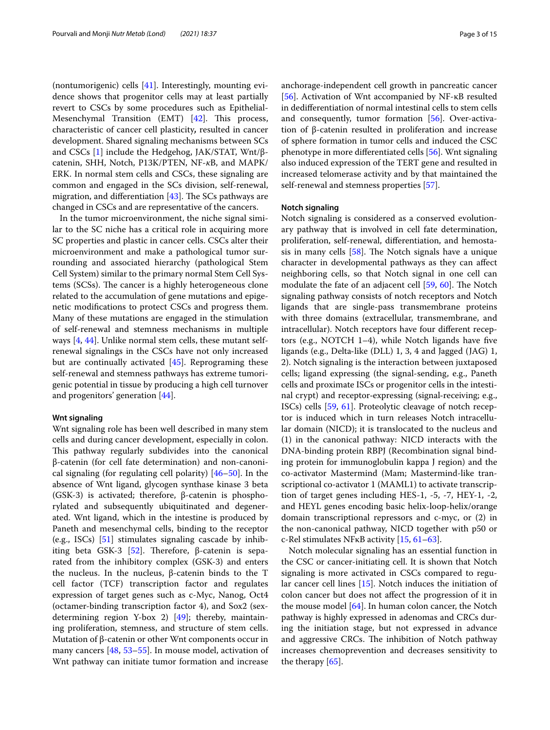(nontumorigenic) cells [\[41](#page-11-36)]. Interestingly, mounting evidence shows that progenitor cells may at least partially revert to CSCs by some procedures such as Epithelial-Mesenchymal Transition (EMT)  $[42]$  $[42]$ . This process, characteristic of cancer cell plasticity*,* resulted in cancer development. Shared signaling mechanisms between SCs and CSCs  $[1]$  $[1]$  include the Hedgehog, JAK/STAT, Wnt/βcatenin, SHH, Notch, P13K/PTEN, NF-*κ*B, and MAPK/ ERK. In normal stem cells and CSCs, these signaling are common and engaged in the SCs division, self-renewal, migration, and differentiation  $[43]$  $[43]$  $[43]$ . The SCs pathways are changed in CSCs and are representative of the cancers.

In the tumor microenvironment, the niche signal similar to the SC niche has a critical role in acquiring more SC properties and plastic in cancer cells. CSCs alter their microenvironment and make a pathological tumor surrounding and associated hierarchy (pathological Stem Cell System) similar to the primary normal Stem Cell Systems (SCSs). The cancer is a highly heterogeneous clone related to the accumulation of gene mutations and epigenetic modifcations to protect CSCs and progress them. Many of these mutations are engaged in the stimulation of self-renewal and stemness mechanisms in multiple ways [\[4](#page-11-3), [44\]](#page-11-39). Unlike normal stem cells, these mutant selfrenewal signalings in the CSCs have not only increased but are continually activated [\[45](#page-12-0)]. Reprograming these self-renewal and stemness pathways has extreme tumorigenic potential in tissue by producing a high cell turnover and progenitors' generation [[44\]](#page-11-39).

## **Wnt signaling**

Wnt signaling role has been well described in many stem cells and during cancer development, especially in colon. This pathway regularly subdivides into the canonical β-catenin (for cell fate determination) and non-canonical signaling (for regulating cell polarity) [[46](#page-12-1)[–50](#page-12-2)]. In the absence of Wnt ligand, glycogen synthase kinase 3 beta (GSK-3) is activated; therefore, β-catenin is phosphorylated and subsequently ubiquitinated and degenerated. Wnt ligand, which in the intestine is produced by Paneth and mesenchymal cells, binding to the receptor (e.g., ISCs)  $[51]$  $[51]$  stimulates signaling cascade by inhib-iting beta GSK-3 [[52](#page-12-4)]. Therefore, β-catenin is separated from the inhibitory complex (GSK-3) and enters the nucleus. In the nucleus, β-catenin binds to the T cell factor (TCF) transcription factor and regulates expression of target genes such as c-Myc, Nanog, Oct4 (octamer-binding transcription factor 4), and Sox2 (sexdetermining region Y-box 2) [\[49](#page-12-5)]; thereby, maintaining proliferation, stemness, and structure of stem cells. Mutation of β-catenin or other Wnt components occur in many cancers [[48,](#page-12-6) [53](#page-12-7)[–55](#page-12-8)]. In mouse model, activation of Wnt pathway can initiate tumor formation and increase anchorage-independent cell growth in pancreatic cancer [[56\]](#page-12-9). Activation of Wnt accompanied by NF-κB resulted in dediferentiation of normal intestinal cells to stem cells and consequently, tumor formation [\[56](#page-12-9)]. Over-activation of β-catenin resulted in proliferation and increase of sphere formation in tumor cells and induced the CSC phenotype in more diferentiated cells [\[56](#page-12-9)]. Wnt signaling also induced expression of the TERT gene and resulted in increased telomerase activity and by that maintained the self-renewal and stemness properties [\[57](#page-12-10)].

# **Notch signaling**

Notch signaling is considered as a conserved evolutionary pathway that is involved in cell fate determination, proliferation, self-renewal, diferentiation, and hemostasis in many cells  $[58]$  $[58]$ . The Notch signals have a unique character in developmental pathways as they can afect neighboring cells, so that Notch signal in one cell can modulate the fate of an adjacent cell  $[59, 60]$  $[59, 60]$  $[59, 60]$  $[59, 60]$ . The Notch signaling pathway consists of notch receptors and Notch ligands that are single-pass transmembrane proteins with three domains (extracellular, transmembrane, and intracellular). Notch receptors have four diferent receptors (e.g., NOTCH 1–4), while Notch ligands have fve ligands (e.g., Delta‐like (DLL) 1, 3, 4 and Jagged (JAG) 1, 2). Notch signaling is the interaction between juxtaposed cells; ligand expressing (the signal-sending, e.g., Paneth cells and proximate ISCs or progenitor cells in the intestinal crypt) and receptor‐expressing (signal‐receiving; e.g., ISCs) cells [[59](#page-12-12), [61\]](#page-12-14). Proteolytic cleavage of notch receptor is induced which in turn releases Notch intracellular domain (NICD); it is translocated to the nucleus and (1) in the canonical pathway: NICD interacts with the DNA-binding protein RBPJ (Recombination signal binding protein for immunoglobulin kappa J region) and the co-activator Mastermind (Mam; Mastermind-like transcriptional co-activator 1 (MAML1) to activate transcription of target genes including HES-1, -5, -7, HEY-1, -2, and HEYL genes encoding basic helix-loop-helix/orange domain transcriptional repressors and c-myc, or (2) in the non-canonical pathway, NICD together with p50 or c-Rel stimulates NFκB activity [\[15,](#page-11-13) [61](#page-12-14)[–63](#page-12-15)].

Notch molecular signaling has an essential function in the CSC or cancer-initiating cell. It is shown that Notch signaling is more activated in CSCs compared to regular cancer cell lines [[15](#page-11-13)]. Notch induces the initiation of colon cancer but does not afect the progression of it in the mouse model [\[64\]](#page-12-16). In human colon cancer, the Notch pathway is highly expressed in adenomas and CRCs during the initiation stage, but not expressed in advance and aggressive CRCs. The inhibition of Notch pathway increases chemoprevention and decreases sensitivity to the therapy [\[65](#page-12-17)].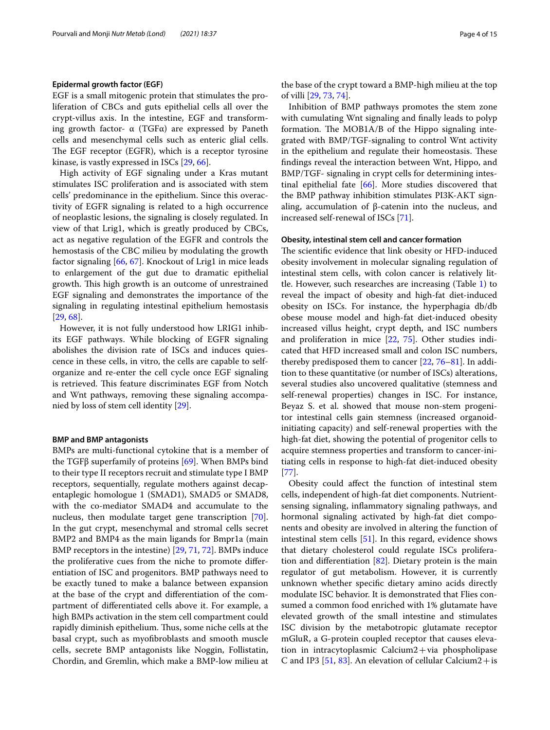### **Epidermal growth factor (EGF)**

EGF is a small mitogenic protein that stimulates the proliferation of CBCs and guts epithelial cells all over the crypt-villus axis. In the intestine, EGF and transforming growth factor-  $\alpha$  (TGFα) are expressed by Paneth cells and mesenchymal cells such as enteric glial cells. The EGF receptor (EGFR), which is a receptor tyrosine kinase, is vastly expressed in ISCs [[29,](#page-11-24) [66](#page-12-18)].

High activity of EGF signaling under a Kras mutant stimulates ISC proliferation and is associated with stem cells' predominance in the epithelium. Since this overactivity of EGFR signaling is related to a high occurrence of neoplastic lesions, the signaling is closely regulated. In view of that Lrig1, which is greatly produced by CBCs, act as negative regulation of the EGFR and controls the hemostasis of the CBC milieu by modulating the growth factor signaling [[66,](#page-12-18) [67](#page-12-19)]. Knockout of Lrig1 in mice leads to enlargement of the gut due to dramatic epithelial growth. This high growth is an outcome of unrestrained EGF signaling and demonstrates the importance of the signaling in regulating intestinal epithelium hemostasis [[29,](#page-11-24) [68](#page-12-20)].

However, it is not fully understood how LRIG1 inhibits EGF pathways. While blocking of EGFR signaling abolishes the division rate of ISCs and induces quiescence in these cells, in vitro, the cells are capable to selforganize and re-enter the cell cycle once EGF signaling is retrieved. This feature discriminates EGF from Notch and Wnt pathways, removing these signaling accompanied by loss of stem cell identity [[29\]](#page-11-24).

#### **BMP and BMP antagonists**

BMPs are multi-functional cytokine that is a member of the TGFβ superfamily of proteins [[69](#page-12-21)]. When BMPs bind to their type II receptors recruit and stimulate type I BMP receptors, sequentially, regulate mothers against decapentaplegic homologue 1 (SMAD1), SMAD5 or SMAD8, with the co-mediator SMAD4 and accumulate to the nucleus, then modulate target gene transcription [\[70](#page-12-22)]. In the gut crypt, mesenchymal and stromal cells secret BMP2 and BMP4 as the main ligands for Bmpr1a (main BMP receptors in the intestine) [\[29,](#page-11-24) [71](#page-12-23), [72\]](#page-12-24). BMPs induce the proliferative cues from the niche to promote diferentiation of ISC and progenitors. BMP pathways need to be exactly tuned to make a balance between expansion at the base of the crypt and diferentiation of the compartment of diferentiated cells above it. For example, a high BMPs activation in the stem cell compartment could rapidly diminish epithelium. Thus, some niche cells at the basal crypt, such as myofbroblasts and smooth muscle cells, secrete BMP antagonists like Noggin, Follistatin, Chordin, and Gremlin, which make a BMP-low milieu at the base of the crypt toward a BMP-high milieu at the top of villi [[29](#page-11-24), [73,](#page-12-25) [74](#page-12-26)].

Inhibition of BMP pathways promotes the stem zone with cumulating Wnt signaling and fnally leads to polyp formation. The MOB1A/B of the Hippo signaling integrated with BMP/TGF-signaling to control Wnt activity in the epithelium and regulate their homeostasis. These fndings reveal the interaction between Wnt, Hippo, and BMP/TGF- signaling in crypt cells for determining intestinal epithelial fate [\[66](#page-12-18)]. More studies discovered that the BMP pathway inhibition stimulates PI3K-AKT signaling, accumulation of β-catenin into the nucleus, and increased self-renewal of ISCs [\[71\]](#page-12-23).

# **Obesity, intestinal stem cell and cancer formation**

The scientific evidence that link obesity or HFD-induced obesity involvement in molecular signaling regulation of intestinal stem cells, with colon cancer is relatively little. However, such researches are increasing (Table [1\)](#page-4-0) to reveal the impact of obesity and high-fat diet-induced obesity on ISCs. For instance, the hyperphagia db/db obese mouse model and high-fat diet-induced obesity increased villus height, crypt depth, and ISC numbers and proliferation in mice [\[22](#page-11-19), [75\]](#page-12-27). Other studies indicated that HFD increased small and colon ISC numbers, thereby predisposed them to cancer [[22,](#page-11-19) [76](#page-12-28)[–81](#page-12-29)]. In addition to these quantitative (or number of ISCs) alterations, several studies also uncovered qualitative (stemness and self-renewal properties) changes in ISC. For instance, Beyaz S. et al. showed that mouse non-stem progenitor intestinal cells gain stemness (increased organoidinitiating capacity) and self-renewal properties with the high-fat diet, showing the potential of progenitor cells to acquire stemness properties and transform to cancer-initiating cells in response to high-fat diet-induced obesity [[77\]](#page-12-30).

Obesity could afect the function of intestinal stem cells, independent of high-fat diet components. Nutrientsensing signaling, infammatory signaling pathways, and hormonal signaling activated by high-fat diet components and obesity are involved in altering the function of intestinal stem cells [\[51](#page-12-3)]. In this regard, evidence shows that dietary cholesterol could regulate ISCs proliferation and differentiation  $[82]$ . Dietary protein is the main regulator of gut metabolism. However, it is currently unknown whether specifc dietary amino acids directly modulate ISC behavior. It is demonstrated that Flies consumed a common food enriched with 1% glutamate have elevated growth of the small intestine and stimulates ISC division by the metabotropic glutamate receptor mGluR, a G-protein coupled receptor that causes elevation in intracytoplasmic Calcium2+via phospholipase C and IP3 [[51,](#page-12-3) [83](#page-12-32)]. An elevation of cellular Calcium2 + is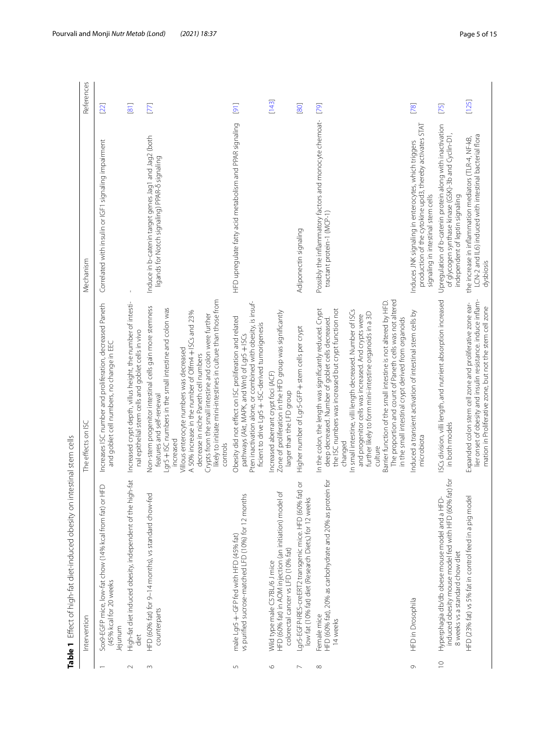<span id="page-4-0"></span>

| $-1$<br>)<br>7<br>. - r c - 1 - t c - 1 -<br>j                                                                                                                                                                                                                                                                                                                                                                                                                                |  |
|-------------------------------------------------------------------------------------------------------------------------------------------------------------------------------------------------------------------------------------------------------------------------------------------------------------------------------------------------------------------------------------------------------------------------------------------------------------------------------|--|
| ים המודות היו המ<br>$\genfrac{}{}{0pt}{}{\genfrac{}{}{0pt}{}{\genfrac{}{}{0pt}{}{\genfrac{}{}{0pt}{}{\genfrac{}{}{0pt}{}{\genfrac{}{}{0pt}{}{\genfrac{}{}{0pt}{}{\genfrac{}{}{0pt}{}{\genfrac{}{}{0pt}{}{\genfrac{}{}{0pt}{}{\genfrac{}{}{0pt}{}{\genfrac{}{}{0pt}{}{\genfrac{}{}{0pt}{}{\genfrac{}{}{0pt}{}{\genfrac{}{}{0pt}{}{\genfrac{}{}{0pt}{}{\genfrac{}{}{0pt}{}{\genfrac{}{}{0pt}{}{\genfrac{}{}{0pt}{}{\genfrac{}{}{0pt}{}{\genfrac{}{}{0pt}{}{\genfrac{}{}{0pt}{}$ |  |
| くく・ニ<br>ï<br>j                                                                                                                                                                                                                                                                                                                                                                                                                                                                |  |
| ていこ ナウナウナウナウナウナウナウ<br>Ï                                                                                                                                                                                                                                                                                                                                                                                                                                                       |  |
|                                                                                                                                                                                                                                                                                                                                                                                                                                                                               |  |
|                                                                                                                                                                                                                                                                                                                                                                                                                                                                               |  |

|             | Table 1 Effect of high-fat diet-induced obesity on intestinal stem cells<br>Intervention                                                    | The effects on ISC                                                                                                                                                                                                                                                                                                                                                                                                                                                                                                                                                 | Mechanism                                                                                                                                             | References |
|-------------|---------------------------------------------------------------------------------------------------------------------------------------------|--------------------------------------------------------------------------------------------------------------------------------------------------------------------------------------------------------------------------------------------------------------------------------------------------------------------------------------------------------------------------------------------------------------------------------------------------------------------------------------------------------------------------------------------------------------------|-------------------------------------------------------------------------------------------------------------------------------------------------------|------------|
|             | Sox9-EGFP mice, low-fat chow (14% kcal from fat) or HFD<br>(45% kcal for 20 weeks<br>Jejunum                                                | Increases ISC number and proliferation, decreased Paneth<br>and goblet cell numbers, no change in EEC                                                                                                                                                                                                                                                                                                                                                                                                                                                              | Correlated with insulin or IGF1 signaling impairment                                                                                                  | [22]       |
| $\sim$      | High-fat diet induced obesity, independent of the high-fat<br>diet                                                                          | Increased crypt depth, villus height, the number of intesti-<br>nal epithelial stem cells and goblet cells in vivo                                                                                                                                                                                                                                                                                                                                                                                                                                                 |                                                                                                                                                       | [81]       |
| $\sim$      | HFD (60% fat) for 9-14 months), vs standard chow-fed<br>counterparts                                                                        | likely to initiate mini-intestines in culture than those from<br>Non-stem progenitor intestinal cells gain more stemness<br>Lgr5 + ISC numbers in the small intestine and colon was<br>A 50% increase in the number of Olfm4 + ISCs and 23%<br>Crypts from the small intestine and colon were further<br>Villous enterocyte numbers was decreased<br>decrease in niche Paneth cell numbers<br>features and self-renewal<br>increased<br>controls                                                                                                                   | Induce in b-catenin target genes Jag1 and Jag2 (both<br>ligands for Notch signaling) PPAR-6 signaling                                                 | $[77]$     |
| 5           | vs purified sucrose-matched LFD (10%) for 12 months<br>male Lgr5+-GFP fed with HFD (45% fat)                                                | Pten inactivation alone, or combined with obesity, is insuf-<br>Obesity did not effect on ISC proliferation and related<br>ficient to drive Lgr5 +-ISC-derived tumorigenesis<br>pathways (Akt, MAPK, and Wnt) of Lgr5 + ISCs                                                                                                                                                                                                                                                                                                                                       | HFD upregulate fatty acid metabolism and PPAR signaling                                                                                               | [9]        |
| $\circ$     | HFD (60% fat) in AOM injection (an initiation) model of<br>colorectal cancer vs LFD (10% fat)<br>Wild type male C57BL/6 J mice              | Zone of proliferation in the HFD group was significantly<br>Increased aberrant crypt foci (ACF)<br>larger than the LFD group                                                                                                                                                                                                                                                                                                                                                                                                                                       |                                                                                                                                                       | [143]      |
| $\sim$      | Lgr5-EGFP-IRES-creERT2 transgenic mice. HFD (60% fat) or<br>low fat (10% fat) diet (Research Diets,) for 12 weeks                           | Higher number of Lgr5-GFP + stem cells per crypt                                                                                                                                                                                                                                                                                                                                                                                                                                                                                                                   | Adiponectin signaling                                                                                                                                 | [80]       |
| $\infty$    | HFD (60% fat), 20% as carbohydrate and 20% as protein for<br>Female mice<br>14 weeks                                                        | The proportion and count of Paneth cells was not altered<br>Barrier function of the small intestine is not altered by HFD.<br>In the colon, the length was significantly reduced. Crypt<br>the ISC numbers was increased but crypt function not<br>In small intestine, villi length decreased. Number of ISCs<br>further likely to form mini-intestine organoids in a 3D<br>and progenitor cells was increased. And crypts were<br>in the small intestinal crypt derived from organoids<br>deep decreased. Number of goblet cells decreased.<br>changed<br>culture | Possibly the inflammatory factors and monocyte chemoat-<br>tractant protein-1 (MCP-1)                                                                 | [79]       |
| $\circ$     | HFD in Drosophila                                                                                                                           | Induced a transient activation of intestinal stem cells by<br>microbiota                                                                                                                                                                                                                                                                                                                                                                                                                                                                                           | production of the cytokine upd3, thereby activates STAT<br>Induces JNK signaling in enterocytes, which triggers<br>signaling in intestinal stem cells | [78]       |
| $\supseteq$ | induced obesity mouse model fed with HFD (60% fat) for<br>Hyperphagia db/db obese mouse model and a HFD-<br>8 weeks vs a standard chow diet | ISCs division, villi length, and nutrient absorption increased<br>in both models                                                                                                                                                                                                                                                                                                                                                                                                                                                                                   | Upregulation of b-catenin protein along with inactivation<br>of glycogen synthase kinase (GSK)-3b and Cyclin-D1,<br>independent of leptin signaling   | $[75]$     |
|             | HFD (23% fat) vs 5% fat in control feed in a pig model                                                                                      | lier onset of obesity and insulin resistance. induce inflam-<br>Expanded colon stem cell zone and proliferative zone ear-<br>mation in Proliferative zone, but not the stem cell zone                                                                                                                                                                                                                                                                                                                                                                              | LCN-2 and IL6) induced with intestinal bacterial flora<br>the increase in inflammation mediators (TLR-4, NF-kB,<br>dysbiosis                          | [125]      |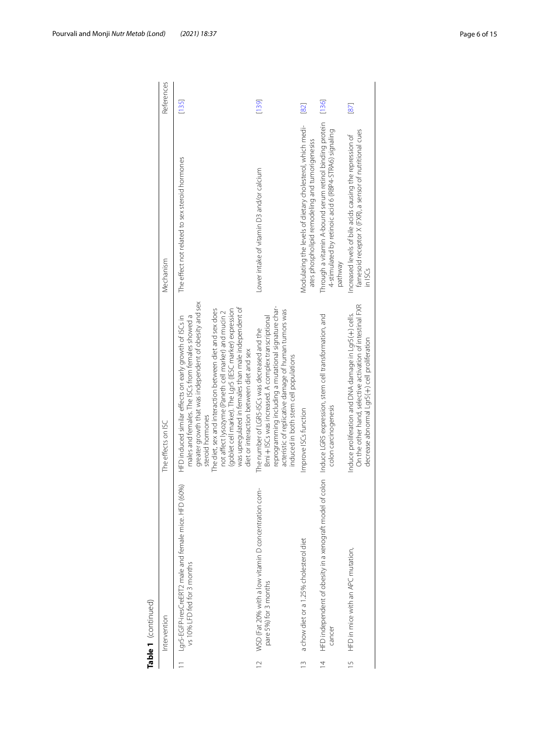|                | Intervention                                                                                                             | The effects on ISC                                                                                                                                                                                                                                                                                                                                                                                                                                                         | Mechanism                                                                                                                              | References |
|----------------|--------------------------------------------------------------------------------------------------------------------------|----------------------------------------------------------------------------------------------------------------------------------------------------------------------------------------------------------------------------------------------------------------------------------------------------------------------------------------------------------------------------------------------------------------------------------------------------------------------------|----------------------------------------------------------------------------------------------------------------------------------------|------------|
|                | Lars-EGFP-iresCreERT2 male and female mice. HFD (60%)<br>vs 10% LFD fed for 3 months                                     | greater growth that was independent of obesity and sex<br>was uprequiated in females than male independent of<br>(goblet cell marker). The Lgr5 (IESC marker) expression<br>The diet, sex and interaction between diet and sex does<br>not affect lysozyme (Paneth cell marker) and mucin 2<br>males and females. The ISCs from females showed a<br>HFD induced similar effects on early growth of ISCs in<br>diet or interaction between diet and sex<br>steroid hormones | The effect not related to sex steroid hormones                                                                                         | [135]      |
|                | WSD (Fat 20% with a low vitamin D concentration com-<br>pare 5%) for 3 months                                            | reprogramming including a mutational signature char-<br>acteristic of replicative damage of human tumors was<br>Bmi + ISCs was increased. A complex transcriptional<br>The number of LGR5-ISCs was decreased and the<br>induced in both stem cell populations                                                                                                                                                                                                              | Lower intake of vitamin D3 and/or calcium                                                                                              | [139]      |
|                | a chow diet or a 1.25% cholesterol diet                                                                                  | Improve ISCs function                                                                                                                                                                                                                                                                                                                                                                                                                                                      | Modulating the levels of dietary cholesterol, which medi-<br>ates phospholipid remodeling and tumorigenesiss                           | [82]       |
|                | HFD independent of obesity in a xenograft model of colon Induce LGR5 expression, stem cell transformation, and<br>cancer | colon carcinogenesis                                                                                                                                                                                                                                                                                                                                                                                                                                                       | Through a vitamin A-bound serum retinol binding protein<br>4-stimulated by retinoic acid 6 (RBP4-STRA6) signaling<br>pathway           | [136]      |
| $\overline{1}$ | HFD in mice with an APC mutation,                                                                                        | On the other hand, selective activation of intestinal FXR<br>Induce proliferation and DNA damage in Lar5(+) cells.<br>decrease abnormal Lgr5(+) cell proliferation                                                                                                                                                                                                                                                                                                         | farnesoid receptor X (FXR), a sensor of nutritional cues<br>Increased levels of bile acids causing the repression of<br>$\frac{15}{3}$ | 87         |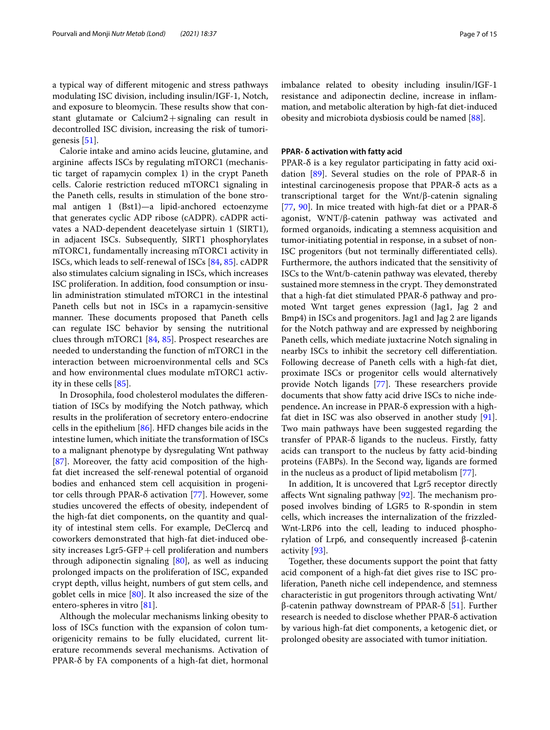a typical way of diferent mitogenic and stress pathways modulating ISC division, including insulin/IGF-1, Notch, and exposure to bleomycin. These results show that constant glutamate or  $Calcium2 + signaling can result in$ decontrolled ISC division, increasing the risk of tumorigenesis [[51](#page-12-3)].

Calorie intake and amino acids leucine, glutamine, and arginine afects ISCs by regulating mTORC1 (mechanistic target of rapamycin complex 1) in the crypt Paneth cells. Calorie restriction reduced mTORC1 signaling in the Paneth cells, results in stimulation of the bone stromal antigen 1 (Bst1)—a lipid-anchored ectoenzyme that generates cyclic ADP ribose (cADPR). cADPR activates a NAD-dependent deacetelyase sirtuin 1 (SIRT1), in adjacent ISCs. Subsequently, SIRT1 phosphorylates mTORC1, fundamentally increasing mTORC1 activity in ISCs, which leads to self-renewal of ISCs [\[84](#page-12-38), [85](#page-12-39)]. cADPR also stimulates calcium signaling in ISCs, which increases ISC proliferation. In addition, food consumption or insulin administration stimulated mTORC1 in the intestinal Paneth cells but not in ISCs in a rapamycin-sensitive manner. These documents proposed that Paneth cells can regulate ISC behavior by sensing the nutritional clues through mTORC1 [[84,](#page-12-38) [85](#page-12-39)]. Prospect researches are needed to understanding the function of mTORC1 in the interaction between microenvironmental cells and SCs and how environmental clues modulate mTORC1 activity in these cells [[85\]](#page-12-39).

In Drosophila, food cholesterol modulates the diferentiation of ISCs by modifying the Notch pathway, which results in the proliferation of secretory entero-endocrine cells in the epithelium [\[86\]](#page-12-40). HFD changes bile acids in the intestine lumen, which initiate the transformation of ISCs to a malignant phenotype by dysregulating Wnt pathway [[87\]](#page-12-37). Moreover, the fatty acid composition of the highfat diet increased the self-renewal potential of organoid bodies and enhanced stem cell acquisition in progenitor cells through PPAR-δ activation [\[77](#page-12-30)]. However, some studies uncovered the efects of obesity, independent of the high-fat diet components, on the quantity and quality of intestinal stem cells. For example, DeClercq and coworkers demonstrated that high-fat diet-induced obesity increases  $Lgr5-GFP + cell$  proliferation and numbers through adiponectin signaling  $[80]$ , as well as inducing prolonged impacts on the proliferation of ISC, expanded crypt depth, villus height, numbers of gut stem cells, and goblet cells in mice [[80\]](#page-12-34). It also increased the size of the entero-spheres in vitro [\[81](#page-12-29)].

Although the molecular mechanisms linking obesity to loss of ISCs function with the expansion of colon tumorigenicity remains to be fully elucidated, current literature recommends several mechanisms. Activation of PPAR-δ by FA components of a high-fat diet, hormonal imbalance related to obesity including insulin/IGF-1 resistance and adiponectin decline, increase in infammation, and metabolic alteration by high-fat diet-induced obesity and microbiota dysbiosis could be named [\[88](#page-12-41)].

# **PPAR‑ δ activation with fatty acid**

PPAR-δ is a key regulator participating in fatty acid oxi-dation [[89\]](#page-12-42). Several studies on the role of PPAR- $\delta$  in intestinal carcinogenesis propose that PPAR-δ acts as a transcriptional target for the Wnt/β-catenin signaling [[77,](#page-12-30) [90](#page-12-43)]. In mice treated with high-fat diet or a PPAR-δ agonist, WNT/β-catenin pathway was activated and formed organoids, indicating a stemness acquisition and tumor-initiating potential in response, in a subset of non-ISC progenitors (but not terminally diferentiated cells). Furthermore, the authors indicated that the sensitivity of ISCs to the Wnt/b-catenin pathway was elevated, thereby sustained more stemness in the crypt. They demonstrated that a high-fat diet stimulated PPAR-δ pathway and promoted Wnt target genes expression (Jag1, Jag 2 and Bmp4) in ISCs and progenitors. Jag1 and Jag 2 are ligands for the Notch pathway and are expressed by neighboring Paneth cells, which mediate juxtacrine Notch signaling in nearby ISCs to inhibit the secretory cell diferentiation. Following decrease of Paneth cells with a high-fat diet, proximate ISCs or progenitor cells would alternatively provide Notch ligands [[77\]](#page-12-30). These researchers provide documents that show fatty acid drive ISCs to niche independence**.** An increase in PPAR-δ expression with a highfat diet in ISC was also observed in another study [\[91](#page-12-33)]. Two main pathways have been suggested regarding the transfer of PPAR-δ ligands to the nucleus. Firstly, fatty acids can transport to the nucleus by fatty acid-binding proteins (FABPs). In the Second way, ligands are formed in the nucleus as a product of lipid metabolism [\[77\]](#page-12-30).

In addition, It is uncovered that Lgr5 receptor directly affects Wnt signaling pathway  $[92]$  $[92]$ . The mechanism proposed involves binding of LGR5 to R-spondin in stem cells, which increases the internalization of the frizzled-Wnt-LRP6 into the cell, leading to induced phosphorylation of Lrp6, and consequently increased β-catenin activity [\[93\]](#page-12-45).

Together, these documents support the point that fatty acid component of a high-fat diet gives rise to ISC proliferation, Paneth niche cell independence, and stemness characteristic in gut progenitors through activating Wnt/ β-catenin pathway downstream of PPAR-δ [\[51\]](#page-12-3). Further research is needed to disclose whether PPAR-δ activation by various high-fat diet components, a ketogenic diet, or prolonged obesity are associated with tumor initiation.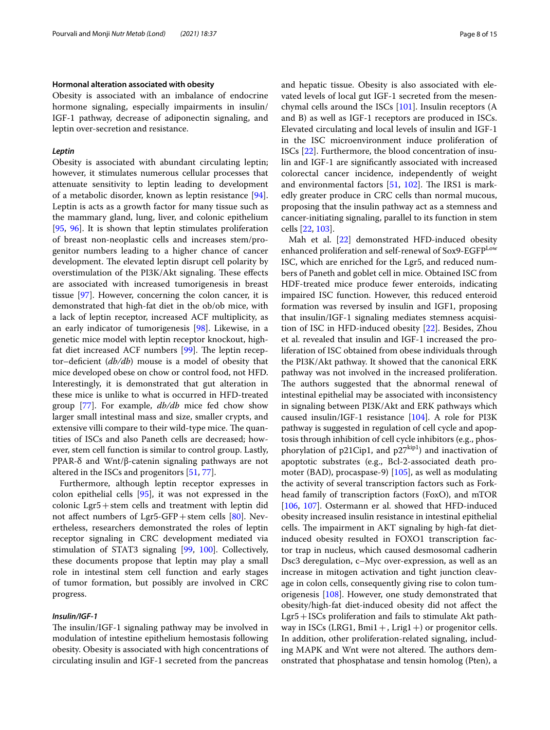#### **Hormonal alteration associated with obesity**

Obesity is associated with an imbalance of endocrine hormone signaling, especially impairments in insulin/ IGF-1 pathway, decrease of adiponectin signaling, and leptin over-secretion and resistance.

# *Leptin*

Obesity is associated with abundant circulating leptin; however, it stimulates numerous cellular processes that attenuate sensitivity to leptin leading to development of a metabolic disorder, known as leptin resistance [\[94](#page-12-46)]. Leptin is acts as a growth factor for many tissue such as the mammary gland, lung, liver, and colonic epithelium [[95,](#page-12-47) [96\]](#page-13-4). It is shown that leptin stimulates proliferation of breast non-neoplastic cells and increases stem/progenitor numbers leading to a higher chance of cancer development. The elevated leptin disrupt cell polarity by overstimulation of the PI3K/Akt signaling. These effects are associated with increased tumorigenesis in breast tissue [\[97\]](#page-13-5). However, concerning the colon cancer, it is demonstrated that high-fat diet in the ob/ob mice, with a lack of leptin receptor, increased ACF multiplicity, as an early indicator of tumorigenesis [[98](#page-13-6)]. Likewise, in a genetic mice model with leptin receptor knockout, highfat diet increased ACF numbers  $[99]$ . The leptin receptor–defcient (*db/db*) mouse is a model of obesity that mice developed obese on chow or control food, not HFD. Interestingly, it is demonstrated that gut alteration in these mice is unlike to what is occurred in HFD-treated group [\[77](#page-12-30)]. For example, *db/db* mice fed chow show larger small intestinal mass and size, smaller crypts, and extensive villi compare to their wild-type mice. The quantities of ISCs and also Paneth cells are decreased; however, stem cell function is similar to control group. Lastly, PPAR-δ and Wnt/β-catenin signaling pathways are not altered in the ISCs and progenitors [[51](#page-12-3), [77\]](#page-12-30).

Furthermore, although leptin receptor expresses in colon epithelial cells [[95](#page-12-47)], it was not expressed in the colonic Lgr5+stem cells and treatment with leptin did not affect numbers of  $Lgr5-GFP + stem$  cells  $[80]$ . Nevertheless, researchers demonstrated the roles of leptin receptor signaling in CRC development mediated via stimulation of STAT3 signaling [[99,](#page-13-7) [100\]](#page-13-8). Collectively, these documents propose that leptin may play a small role in intestinal stem cell function and early stages of tumor formation, but possibly are involved in CRC progress.

#### *Insulin/IGF‑1*

The insulin/IGF-1 signaling pathway may be involved in modulation of intestine epithelium hemostasis following obesity. Obesity is associated with high concentrations of circulating insulin and IGF-1 secreted from the pancreas and hepatic tissue. Obesity is also associated with elevated levels of local gut IGF-1 secreted from the mesenchymal cells around the ISCs [\[101\]](#page-13-9). Insulin receptors (A and B) as well as IGF-1 receptors are produced in ISCs. Elevated circulating and local levels of insulin and IGF-1 in the ISC microenvironment induce proliferation of ISCs [[22\]](#page-11-19). Furthermore, the blood concentration of insulin and IGF-1 are signifcantly associated with increased colorectal cancer incidence, independently of weight and environmental factors  $[51, 102]$  $[51, 102]$  $[51, 102]$  $[51, 102]$  $[51, 102]$ . The IRS1 is markedly greater produce in CRC cells than normal mucous, proposing that the insulin pathway act as a stemness and cancer-initiating signaling, parallel to its function in stem cells [[22,](#page-11-19) [103](#page-13-11)].

Mah et al. [[22](#page-11-19)] demonstrated HFD-induced obesity enhanced proliferation and self-renewal of Sox9-EGFP<sup>Low</sup> ISC, which are enriched for the Lgr5, and reduced numbers of Paneth and goblet cell in mice. Obtained ISC from HDF-treated mice produce fewer enteroids, indicating impaired ISC function. However, this reduced enteroid formation was reversed by insulin and IGF1, proposing that insulin/IGF-1 signaling mediates stemness acquisition of ISC in HFD-induced obesity [\[22](#page-11-19)]. Besides, Zhou et al. revealed that insulin and IGF-1 increased the proliferation of ISC obtained from obese individuals through the PI3K/Akt pathway. It showed that the canonical ERK pathway was not involved in the increased proliferation. The authors suggested that the abnormal renewal of intestinal epithelial may be associated with inconsistency in signaling between PI3K/Akt and ERK pathways which caused insulin/IGF-1 resistance [[104](#page-13-12)]. A role for PI3K pathway is suggested in regulation of cell cycle and apoptosis through inhibition of cell cycle inhibitors (e.g., phosphorylation of p21Cip1, and  $p27^{kip1}$  and inactivation of apoptotic substrates (e.g., Bcl-2-associated death promoter (BAD), procaspase-9) [[105\]](#page-13-13), as well as modulating the activity of several transcription factors such as Forkhead family of transcription factors (FoxO), and mTOR [[106,](#page-13-14) [107](#page-13-15)]. Ostermann er al. showed that HFD-induced obesity increased insulin resistance in intestinal epithelial cells. The impairment in AKT signaling by high-fat dietinduced obesity resulted in FOXO1 transcription factor trap in nucleus, which caused desmosomal cadherin Dsc3 deregulation, c–Myc over-expression, as well as an increase in mitogen activation and tight junction cleavage in colon cells, consequently giving rise to colon tumorigenesis [\[108](#page-13-16)]. However, one study demonstrated that obesity/high-fat diet-induced obesity did not afect the Lgr5+ISCs proliferation and fails to stimulate Akt pathway in ISCs (LRG1, Bmi1 +, Lrig1 +) or progenitor cells. In addition, other proliferation-related signaling, including MAPK and Wnt were not altered. The authors demonstrated that phosphatase and tensin homolog (Pten), a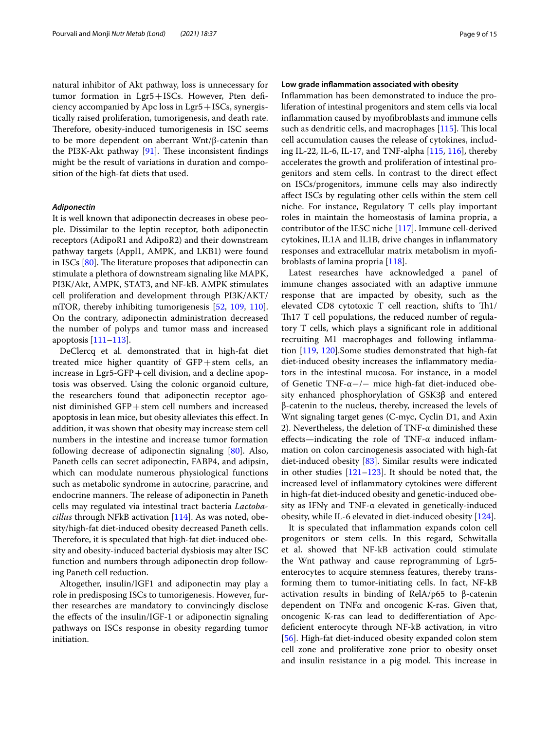natural inhibitor of Akt pathway, loss is unnecessary for tumor formation in Lgr5+ISCs. However, Pten defciency accompanied by Apc loss in  $Lgr5+ISCs$ , synergistically raised proliferation, tumorigenesis, and death rate. Therefore, obesity-induced tumorigenesis in ISC seems to be more dependent on aberrant Wnt/β-catenin than the PI3K-Akt pathway  $[91]$  $[91]$ . These inconsistent findings might be the result of variations in duration and composition of the high-fat diets that used.

### *Adiponectin*

It is well known that adiponectin decreases in obese people. Dissimilar to the leptin receptor, both adiponectin receptors (AdipoR1 and AdipoR2) and their downstream pathway targets (Appl1, AMPK, and LKB1) were found in ISCs  $[80]$  $[80]$ . The literature proposes that adiponectin can stimulate a plethora of downstream signaling like MAPK, PI3K/Akt, AMPK, STAT3, and NF-kB. AMPK stimulates cell proliferation and development through PI3K/AKT/ mTOR, thereby inhibiting tumorigenesis [[52,](#page-12-4) [109](#page-13-17), [110](#page-13-18)]. On the contrary, adiponectin administration decreased the number of polyps and tumor mass and increased apoptosis [\[111–](#page-13-19)[113\]](#page-13-20).

DeClercq et al. demonstrated that in high-fat diet treated mice higher quantity of GFP+stem cells, an increase in  $Lgr5-GFP + cell$  division, and a decline apoptosis was observed. Using the colonic organoid culture, the researchers found that adiponectin receptor agonist diminished GFP+stem cell numbers and increased apoptosis in lean mice, but obesity alleviates this efect. In addition, it was shown that obesity may increase stem cell numbers in the intestine and increase tumor formation following decrease of adiponectin signaling [[80\]](#page-12-34). Also, Paneth cells can secret adiponectin, FABP4, and adipsin, which can modulate numerous physiological functions such as metabolic syndrome in autocrine, paracrine, and endocrine manners. The release of adiponectin in Paneth cells may regulated via intestinal tract bacteria *Lactobacillus* through NFkB activation [[114\]](#page-13-21). As was noted, obesity/high-fat diet-induced obesity decreased Paneth cells. Therefore, it is speculated that high-fat diet-induced obesity and obesity-induced bacterial dysbiosis may alter ISC function and numbers through adiponectin drop following Paneth cell reduction.

Altogether, insulin/IGF1 and adiponectin may play a role in predisposing ISCs to tumorigenesis. However, further researches are mandatory to convincingly disclose the efects of the insulin/IGF-1 or adiponectin signaling pathways on ISCs response in obesity regarding tumor initiation.

# **Low grade infammation associated with obesity**

Infammation has been demonstrated to induce the proliferation of intestinal progenitors and stem cells via local infammation caused by myofbroblasts and immune cells such as dendritic cells, and macrophages  $[115]$  $[115]$  $[115]$ . This local cell accumulation causes the release of cytokines, including IL-22, IL-6, IL-17, and TNF-alpha [\[115](#page-13-22), [116\]](#page-13-23), thereby accelerates the growth and proliferation of intestinal progenitors and stem cells. In contrast to the direct efect on ISCs/progenitors, immune cells may also indirectly afect ISCs by regulating other cells within the stem cell niche. For instance, Regulatory T cells play important roles in maintain the homeostasis of lamina propria, a contributor of the IESC niche [[117\]](#page-13-24). Immune cell-derived cytokines, IL1A and IL1B, drive changes in infammatory responses and extracellular matrix metabolism in myofbroblasts of lamina propria [[118](#page-13-25)].

Latest researches have acknowledged a panel of immune changes associated with an adaptive immune response that are impacted by obesity, such as the elevated CD8 cytotoxic  $T$  cell reaction, shifts to  $Th1/$ Th<sub>17</sub> T cell populations, the reduced number of regulatory T cells, which plays a signifcant role in additional recruiting M1 macrophages and following infammation [[119,](#page-13-26) [120\]](#page-13-27).Some studies demonstrated that high-fat diet-induced obesity increases the infammatory mediators in the intestinal mucosa. For instance, in a model of Genetic TNF-α−/− mice high-fat diet-induced obesity enhanced phosphorylation of GSK3β and entered β-catenin to the nucleus, thereby, increased the levels of Wnt signaling target genes (C-myc, Cyclin D1, and Axin 2). Nevertheless, the deletion of TNF- $α$  diminished these effects—indicating the role of TNF- $\alpha$  induced inflammation on colon carcinogenesis associated with high-fat diet-induced obesity [[83\]](#page-12-32). Similar results were indicated in other studies [\[121](#page-13-28)–[123\]](#page-13-29). It should be noted that, the increased level of infammatory cytokines were diferent in high-fat diet-induced obesity and genetic-induced obesity as IFN $\gamma$  and TNF- $\alpha$  elevated in genetically-induced obesity, while IL-6 elevated in diet-induced obesity [[124\]](#page-13-30).

It is speculated that infammation expands colon cell progenitors or stem cells. In this regard, Schwitalla et al. showed that NF-kB activation could stimulate the Wnt pathway and cause reprogramming of Lgr5 enterocytes to acquire stemness features, thereby transforming them to tumor-initiating cells. In fact, NF-kB activation results in binding of RelA/p65 to β-catenin dependent on TNFα and oncogenic K-ras. Given that, oncogenic K-ras can lead to dediferentiation of Apcdefcient enterocyte through NF-kB activation, in vitro [[56\]](#page-12-9). High-fat diet-induced obesity expanded colon stem cell zone and proliferative zone prior to obesity onset and insulin resistance in a pig model. This increase in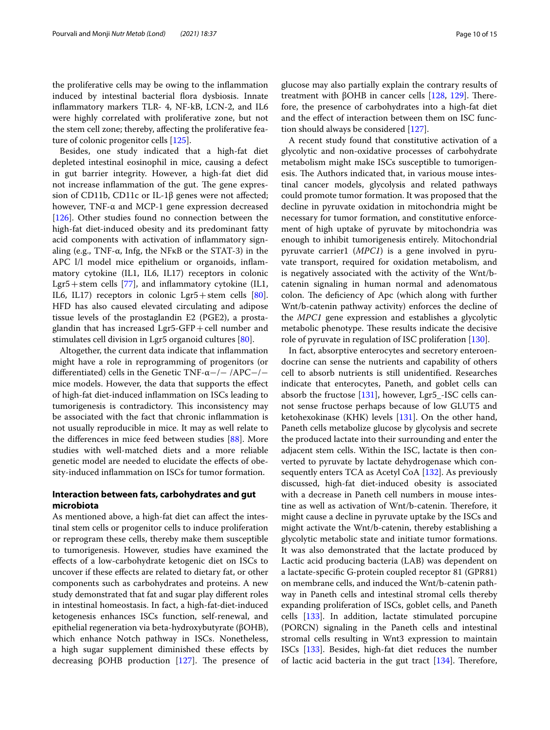the proliferative cells may be owing to the infammation induced by intestinal bacterial fora dysbiosis. Innate infammatory markers TLR- 4, NF-kB, LCN-2, and IL6 were highly correlated with proliferative zone, but not the stem cell zone; thereby, afecting the proliferative feature of colonic progenitor cells [\[125\]](#page-13-0).

Besides, one study indicated that a high-fat diet depleted intestinal eosinophil in mice, causing a defect in gut barrier integrity. However, a high-fat diet did not increase inflammation of the gut. The gene expression of CD11b, CD11c or IL-1β genes were not afected; however, TNF-α and MCP-1 gene expression decreased [[126\]](#page-13-31). Other studies found no connection between the high-fat diet-induced obesity and its predominant fatty acid components with activation of infammatory signaling (e.g., TNF-α, Infg, the NFκB or the STAT-3) in the APC l/l model mice epithelium or organoids, infammatory cytokine (IL1, IL6, IL17) receptors in colonic Lgr5+stem cells [\[77](#page-12-30)], and inflammatory cytokine (IL1, IL6, IL17) receptors in colonic Lgr5+stem cells [\[80](#page-12-34)]. HFD has also caused elevated circulating and adipose tissue levels of the prostaglandin E2 (PGE2), a prostaglandin that has increased Lgr5-GFP+cell number and stimulates cell division in Lgr5 organoid cultures [\[80](#page-12-34)].

Altogether, the current data indicate that infammation might have a role in reprogramming of progenitors (or diferentiated) cells in the Genetic TNF-α−/− /APC−/− mice models. However, the data that supports the efect of high-fat diet-induced infammation on ISCs leading to tumorigenesis is contradictory. This inconsistency may be associated with the fact that chronic infammation is not usually reproducible in mice. It may as well relate to the diferences in mice feed between studies [\[88](#page-12-41)]. More studies with well-matched diets and a more reliable genetic model are needed to elucidate the efects of obesity-induced infammation on ISCs for tumor formation.

# **Interaction between fats, carbohydrates and gut microbiota**

As mentioned above, a high-fat diet can afect the intestinal stem cells or progenitor cells to induce proliferation or reprogram these cells, thereby make them susceptible to tumorigenesis. However, studies have examined the efects of a low-carbohydrate ketogenic diet on ISCs to uncover if these efects are related to dietary fat, or other components such as carbohydrates and proteins. A new study demonstrated that fat and sugar play diferent roles in intestinal homeostasis. In fact, a high-fat-diet-induced ketogenesis enhances ISCs function, self-renewal, and epithelial regeneration via beta-hydroxybutyrate (βOHB), which enhance Notch pathway in ISCs. Nonetheless, a high sugar supplement diminished these efects by decreasing βOHB production  $[127]$  $[127]$ . The presence of glucose may also partially explain the contrary results of treatment with βOHB in cancer cells  $[128, 129]$  $[128, 129]$  $[128, 129]$  $[128, 129]$ . Therefore, the presence of carbohydrates into a high-fat diet and the efect of interaction between them on ISC function should always be considered [[127](#page-13-32)].

A recent study found that constitutive activation of a glycolytic and non-oxidative processes of carbohydrate metabolism might make ISCs susceptible to tumorigenesis. The Authors indicated that, in various mouse intestinal cancer models, glycolysis and related pathways could promote tumor formation. It was proposed that the decline in pyruvate oxidation in mitochondria might be necessary for tumor formation, and constitutive enforcement of high uptake of pyruvate by mitochondria was enough to inhibit tumorigenesis entirely. Mitochondrial pyruvate carrier1 (*MPC1*) is a gene involved in pyruvate transport, required for oxidation metabolism, and is negatively associated with the activity of the Wnt/bcatenin signaling in human normal and adenomatous colon. The deficiency of Apc (which along with further Wnt/b-catenin pathway activity) enforces the decline of the *MPC1* gene expression and establishes a glycolytic metabolic phenotype. These results indicate the decisive role of pyruvate in regulation of ISC proliferation [\[130](#page-13-35)].

In fact, absorptive enterocytes and secretory enteroendocrine can sense the nutrients and capability of others cell to absorb nutrients is still unidentifed. Researches indicate that enterocytes, Paneth, and goblet cells can absorb the fructose [\[131\]](#page-13-36), however, Lgr5\_-ISC cells cannot sense fructose perhaps because of low GLUT5 and ketohexokinase (KHK) levels [\[131](#page-13-36)]. On the other hand, Paneth cells metabolize glucose by glycolysis and secrete the produced lactate into their surrounding and enter the adjacent stem cells. Within the ISC, lactate is then converted to pyruvate by lactate dehydrogenase which consequently enters TCA as Acetyl CoA [\[132](#page-13-37)]. As previously discussed, high-fat diet-induced obesity is associated with a decrease in Paneth cell numbers in mouse intestine as well as activation of Wnt/b-catenin. Therefore, it might cause a decline in pyruvate uptake by the ISCs and might activate the Wnt/b-catenin, thereby establishing a glycolytic metabolic state and initiate tumor formations. It was also demonstrated that the lactate produced by Lactic acid producing bacteria (LAB) was dependent on a lactate-specifc G‐protein coupled receptor 81 (GPR81) on membrane cells, and induced the Wnt/b-catenin pathway in Paneth cells and intestinal stromal cells thereby expanding proliferation of ISCs, goblet cells, and Paneth cells [[133](#page-13-38)]. In addition, lactate stimulated porcupine (PORCN) signaling in the Paneth cells and intestinal stromal cells resulting in Wnt3 expression to maintain ISCs [[133](#page-13-38)]. Besides, high-fat diet reduces the number of lactic acid bacteria in the gut tract  $[134]$  $[134]$  $[134]$ . Therefore,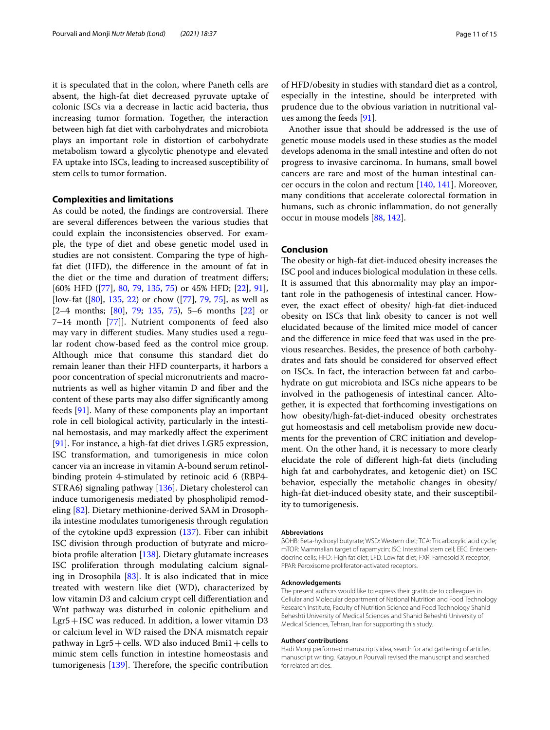it is speculated that in the colon, where Paneth cells are absent, the high-fat diet decreased pyruvate uptake of colonic ISCs via a decrease in lactic acid bacteria, thus increasing tumor formation. Together, the interaction between high fat diet with carbohydrates and microbiota plays an important role in distortion of carbohydrate metabolism toward a glycolytic phenotype and elevated FA uptake into ISCs, leading to increased susceptibility of stem cells to tumor formation.

# **Complexities and limitations**

As could be noted, the findings are controversial. There are several diferences between the various studies that could explain the inconsistencies observed. For example, the type of diet and obese genetic model used in studies are not consistent. Comparing the type of highfat diet (HFD), the diference in the amount of fat in the diet or the time and duration of treatment difers; [60% HFD ([[77](#page-12-30)], [80](#page-12-34), [79](#page-12-35), [135,](#page-13-1) [75](#page-12-27)) or 45% HFD; [[22\]](#page-11-19), [91](#page-12-33)], [low-fat ([[80](#page-12-34)], [135,](#page-13-1) [22](#page-11-19)) or chow ([[77\]](#page-12-30), [79](#page-12-35), [75\]](#page-12-27), as well as  $[2-4$  months;  $[80]$  $[80]$ , [79](#page-12-35); [135](#page-13-1), [75](#page-12-27)), 5–6 months  $[22]$  $[22]$  or 7–14 month [\[77](#page-12-30)]]. Nutrient components of feed also may vary in diferent studies. Many studies used a regular rodent chow-based feed as the control mice group. Although mice that consume this standard diet do remain leaner than their HFD counterparts, it harbors a poor concentration of special micronutrients and macronutrients as well as higher vitamin D and fber and the content of these parts may also difer signifcantly among feeds [[91\]](#page-12-33). Many of these components play an important role in cell biological activity, particularly in the intestinal hemostasis, and may markedly afect the experiment [[91\]](#page-12-33). For instance, a high-fat diet drives LGR5 expression, ISC transformation, and tumorigenesis in mice colon cancer via an increase in vitamin A-bound serum retinolbinding protein 4-stimulated by retinoic acid 6 (RBP4- STRA6) signaling pathway [[136\]](#page-13-3). Dietary cholesterol can induce tumorigenesis mediated by phospholipid remodeling [\[82\]](#page-12-31). Dietary methionine-derived SAM in Drosophila intestine modulates tumorigenesis through regulation of the cytokine upd3 expression ([137](#page-13-40)). Fiber can inhibit ISC division through production of butyrate and microbiota profle alteration [[138\]](#page-13-41). Dietary glutamate increases ISC proliferation through modulating calcium signaling in Drosophila  $[83]$  $[83]$ . It is also indicated that in mice treated with western like diet (WD), characterized by low vitamin D3 and calcium crypt cell diferentiation and Wnt pathway was disturbed in colonic epithelium and Lgr5+ISC was reduced. In addition, a lower vitamin D3 or calcium level in WD raised the DNA mismatch repair pathway in  $Lgr5 + cells$ . WD also induced Bmi1 + cells to mimic stem cells function in intestine homeostasis and tumorigenesis [[139](#page-13-2)]. Therefore, the specific contribution of HFD/obesity in studies with standard diet as a control, especially in the intestine, should be interpreted with prudence due to the obvious variation in nutritional values among the feeds [\[91\]](#page-12-33).

Another issue that should be addressed is the use of genetic mouse models used in these studies as the model develops adenoma in the small intestine and often do not progress to invasive carcinoma. In humans, small bowel cancers are rare and most of the human intestinal cancer occurs in the colon and rectum [\[140](#page-14-1), [141\]](#page-14-2). Moreover, many conditions that accelerate colorectal formation in humans, such as chronic infammation, do not generally occur in mouse models [\[88,](#page-12-41) [142](#page-14-3)].

# **Conclusion**

The obesity or high-fat diet-induced obesity increases the ISC pool and induces biological modulation in these cells. It is assumed that this abnormality may play an important role in the pathogenesis of intestinal cancer. However, the exact efect of obesity/ high-fat diet-induced obesity on ISCs that link obesity to cancer is not well elucidated because of the limited mice model of cancer and the diference in mice feed that was used in the previous researches. Besides, the presence of both carbohydrates and fats should be considered for observed efect on ISCs. In fact, the interaction between fat and carbohydrate on gut microbiota and ISCs niche appears to be involved in the pathogenesis of intestinal cancer. Altogether, it is expected that forthcoming investigations on how obesity/high-fat-diet-induced obesity orchestrates gut homeostasis and cell metabolism provide new documents for the prevention of CRC initiation and development. On the other hand, it is necessary to more clearly elucidate the role of diferent high-fat diets (including high fat and carbohydrates, and ketogenic diet) on ISC behavior, especially the metabolic changes in obesity/ high-fat diet-induced obesity state, and their susceptibility to tumorigenesis.

#### **Abbreviations**

βOHB: Beta-hydroxyl butyrate; WSD: Western diet; TCA: Tricarboxylic acid cycle; mTOR: Mammalian target of rapamycin; ISC: Intestinal stem cell; EEC: Enteroendocrine cells; HFD: High fat diet; LFD: Low fat diet; FXR: Farnesoid X receptor; PPAR: Peroxisome proliferator-activated receptors.

#### **Acknowledgements**

The present authors would like to express their gratitude to colleagues in Cellular and Molecular department of National Nutrition and Food Technology Research Institute, Faculty of Nutrition Science and Food Technology Shahid Beheshti University of Medical Sciences and Shahid Beheshti University of Medical Sciences, Tehran, Iran for supporting this study.

#### **Authors' contributions**

Hadi Monji performed manuscripts idea, search for and gathering of articles, manuscript writing. Katayoun Pourvali revised the manuscript and searched for related articles.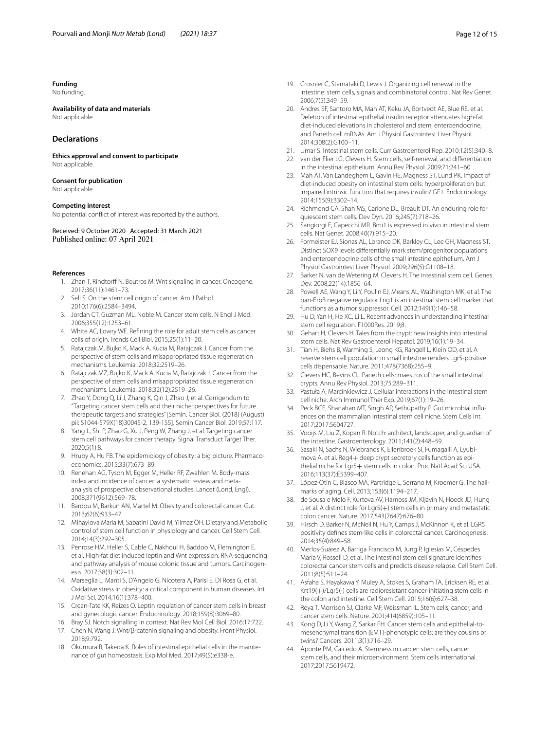# **Funding**

No funding.

# **Availability of data and materials**

Not applicable.

# **Declarations**

**Ethics approval and consent to participate** Not applicable.

#### **Consent for publication**

Not applicable.

#### **Competing interest**

No potential confict of interest was reported by the authors.

Received: 9 October 2020 Accepted: 31 March 2021 Published online: 07 April 2021

#### <span id="page-11-0"></span>**References**

- 1. Zhan T, Rindtorff N, Boutros M. Wnt signaling in cancer. Oncogene. 2017;36(11):1461–73.
- <span id="page-11-1"></span>2. Sell S. On the stem cell origin of cancer. Am J Pathol. 2010;176(6):2584–3494.
- <span id="page-11-2"></span>3. Jordan CT, Guzman ML, Noble M. Cancer stem cells. N Engl J Med. 2006;355(12):1253–61.
- <span id="page-11-3"></span>4. White AC, Lowry WE. Refning the role for adult stem cells as cancer cells of origin. Trends Cell Biol. 2015;25(1):11–20.
- <span id="page-11-4"></span>5. Ratajczak M, Bujko K, Mack A, Kucia M, Ratajczak J. Cancer from the perspective of stem cells and misappropriated tissue regeneration mechanisms. Leukemia. 2018;32:2519–26.
- <span id="page-11-5"></span>6. Ratajczak MZ, Bujko K, Mack A, Kucia M, Ratajczak J. Cancer from the perspective of stem cells and misappropriated tissue regeneration mechanisms. Leukemia. 2018;32(12):2519–26.
- <span id="page-11-6"></span>7. Zhao Y, Dong Q, Li J, Zhang K, Qin J, Zhao J, et al. Corrigendum to "Targeting cancer stem cells and their niche: perspectives for future therapeutic targets and strategies" [Semin. Cancer Biol. (2018) (August) pii: S1044-579X(18)30045-2, 139-155]. Semin Cancer Biol. 2019;57:117.
- <span id="page-11-7"></span>8. Yang L, Shi P, Zhao G, Xu J, Peng W, Zhang J, et al. Targeting cancer stem cell pathways for cancer therapy. Signal Transduct Target Ther. 2020;5(1):8.
- <span id="page-11-8"></span>9. Hruby A, Hu FB. The epidemiology of obesity: a big picture. Pharmacoeconomics. 2015;33(7):673–89.
- <span id="page-11-9"></span>10. Renehan AG, Tyson M, Egger M, Heller RF, Zwahlen M. Body-mass index and incidence of cancer: a systematic review and metaanalysis of prospective observational studies. Lancet (Lond, Engl). 2008;371(9612):569–78.
- <span id="page-11-10"></span>11. Bardou M, Barkun AN, Martel M. Obesity and colorectal cancer. Gut. 2013;62(6):933–47.
- <span id="page-11-11"></span>12. Mihaylova Maria M, Sabatini David M, Yilmaz ÖH. Dietary and Metabolic control of stem cell function in physiology and cancer. Cell Stem Cell. 2014;14(3):292–305.
- 13. Penrose HM, Heller S, Cable C, Nakhoul H, Baddoo M, Flemington E, et al. High-fat diet induced leptin and Wnt expression: RNA-sequencing and pathway analysis of mouse colonic tissue and tumors. Carcinogenesis. 2017;38(3):302–11.
- <span id="page-11-12"></span>14. Marseglia L, Manti S, D'Angelo G, Nicotera A, Parisi E, Di Rosa G, et al. Oxidative stress in obesity: a critical component in human diseases. Int J Mol Sci. 2014;16(1):378–400.
- <span id="page-11-13"></span>15. Crean-Tate KK, Reizes O. Leptin regulation of cancer stem cells in breast and gynecologic cancer. Endocrinology. 2018;159(8):3069–80.
- <span id="page-11-15"></span><span id="page-11-14"></span>16. Bray SJ. Notch signalling in context. Nat Rev Mol Cell Biol. 2016;17:722. 17. Chen N, Wang J. Wnt/β-catenin signaling and obesity. Front Physiol.
- <span id="page-11-16"></span>2018;9:792. 18. Okumura R, Takeda K. Roles of intestinal epithelial cells in the maintenance of gut homeostasis. Exp Mol Med. 2017;49(5):e338-e.
- <span id="page-11-20"></span>19. Crosnier C, Stamataki D, Lewis J. Organizing cell renewal in the intestine: stem cells, signals and combinatorial control. Nat Rev Genet. 2006;7(5):349–59.
- <span id="page-11-18"></span>20. Andres SF, Santoro MA, Mah AT, Keku JA, Bortvedt AE, Blue RE, et al. Deletion of intestinal epithelial insulin receptor attenuates high-fat diet-induced elevations in cholesterol and stem, enteroendocrine, and Paneth cell mRNAs. Am J Physiol Gastrointest Liver Physiol. 2014;308(2):G100–11.
- <span id="page-11-17"></span>21. Umar S. Intestinal stem cells. Curr Gastroenterol Rep. 2010;12(5):340–8.
- <span id="page-11-19"></span>22. van der Flier LG, Clevers H. Stem cells, self-renewal, and diferentiation in the intestinal epithelium. Annu Rev Physiol. 2009;71:241–60.
- <span id="page-11-21"></span>23. Mah AT, Van Landeghem L, Gavin HE, Magness ST, Lund PK. Impact of diet-induced obesity on intestinal stem cells: hyperproliferation but impaired intrinsic function that requires insulin/IGF1. Endocrinology. 2014;155(9):3302–14.
- 24. Richmond CA, Shah MS, Carlone DL, Breault DT. An enduring role for quiescent stem cells. Dev Dyn. 2016;245(7):718–26.
- 25. Sangiorgi E, Capecchi MR. Bmi1 is expressed in vivo in intestinal stem cells. Nat Genet. 2008;40(7):915–20.
- 26. Formeister EJ, Sionas AL, Lorance DK, Barkley CL, Lee GH, Magness ST. Distinct SOX9 levels diferentially mark stem/progenitor populations and enteroendocrine cells of the small intestine epithelium. Am J Physiol Gastrointest Liver Physiol. 2009;296(5):G1108–18.
- <span id="page-11-22"></span>27. Barker N, van de Wetering M, Clevers H. The intestinal stem cell. Genes Dev. 2008;22(14):1856–64.
- <span id="page-11-23"></span>28. Powell AE, Wang Y, Li Y, Poulin EJ, Means AL, Washington MK, et al. The pan-ErbB negative regulator Lrig1 is an intestinal stem cell marker that functions as a tumor suppressor. Cell. 2012;149(1):146–58.
- <span id="page-11-24"></span>29. Hu D, Yan H, He XC, Li L. Recent advances in understanding intestinal stem cell regulation. F1000Res. 2019;8.
- <span id="page-11-25"></span>30. Gehart H, Clevers H. Tales from the crypt: new insights into intestinal stem cells. Nat Rev Gastroenterol Hepatol. 2019;16(1):19–34.
- <span id="page-11-26"></span>31. Tian H, Biehs B, Warming S, Leong KG, Rangell L, Klein OD, et al. A reserve stem cell population in small intestine renders Lgr5-positive cells dispensable. Nature. 2011;478(7368):255–9.
- <span id="page-11-27"></span>32. Clevers HC, Bevins CL. Paneth cells: maestros of the small intestinal crypts. Annu Rev Physiol. 2013;75:289–311.
- <span id="page-11-28"></span>33. Pastuła A, Marcinkiewicz J. Cellular interactions in the intestinal stem cell niche. Arch Immunol Ther Exp. 2019;67(1):19–26.
- <span id="page-11-29"></span>34. Peck BCE, Shanahan MT, Singh AP, Sethupathy P. Gut microbial infuences on the mammalian intestinal stem cell niche. Stem Cells Int. 2017;2017:5604727.
- <span id="page-11-30"></span>35. Vooijs M, Liu Z, Kopan R. Notch: architect, landscaper, and guardian of the intestine. Gastroenterology. 2011;141(2):448–59.
- <span id="page-11-31"></span>36. Sasaki N, Sachs N, Wiebrands K, Ellenbroek SI, Fumagalli A, Lyubimova A, et al. Reg4+ deep crypt secretory cells function as epithelial niche for Lgr5+ stem cells in colon. Proc Natl Acad Sci USA. 2016;113(37):E5399–407.
- <span id="page-11-32"></span>37. López-Otín C, Blasco MA, Partridge L, Serrano M, Kroemer G. The hallmarks of aging. Cell. 2013;153(6):1194–217.
- <span id="page-11-33"></span>38. de Sousa e Melo F, Kurtova AV, Harnoss JM, Kljavin N, Hoeck JD, Hung J, et al. A distinct role for Lgr5(+) stem cells in primary and metastatic colon cancer. Nature. 2017;543(7647):676–80.
- <span id="page-11-34"></span>39. Hirsch D, Barker N, McNeil N, Hu Y, Camps J, McKinnon K, et al. LGR5 positivity defnes stem-like cells in colorectal cancer. Carcinogenesis. 2014;35(4):849–58.
- <span id="page-11-35"></span>40. Merlos-Suárez A, Barriga Francisco M, Jung P, Iglesias M, Céspedes María V, Rossell D, et al. The intestinal stem cell signature identifes colorectal cancer stem cells and predicts disease relapse. Cell Stem Cell. 2011;8(5):511–24.
- <span id="page-11-36"></span>41. Asfaha S, Hayakawa Y, Muley A, Stokes S, Graham TA, Ericksen RE, et al. Krt19(+)/Lgr5(-) cells are radioresistant cancer-initiating stem cells in the colon and intestine. Cell Stem Cell. 2015;16(6):627–38.
- <span id="page-11-37"></span>42. Reya T, Morrison SJ, Clarke MF, Weissman IL. Stem cells, cancer, and cancer stem cells. Nature. 2001;414(6859):105–11.
- <span id="page-11-38"></span>43. Kong D, Li Y, Wang Z, Sarkar FH. Cancer stem cells and epithelial-tomesenchymal transition (EMT)-phenotypic cells: are they cousins or twins? Cancers. 2011;3(1):716–29.
- <span id="page-11-39"></span>44. Aponte PM, Caicedo A. Stemness in cancer: stem cells, cancer stem cells, and their microenvironment. Stem cells international. 2017;2017:5619472.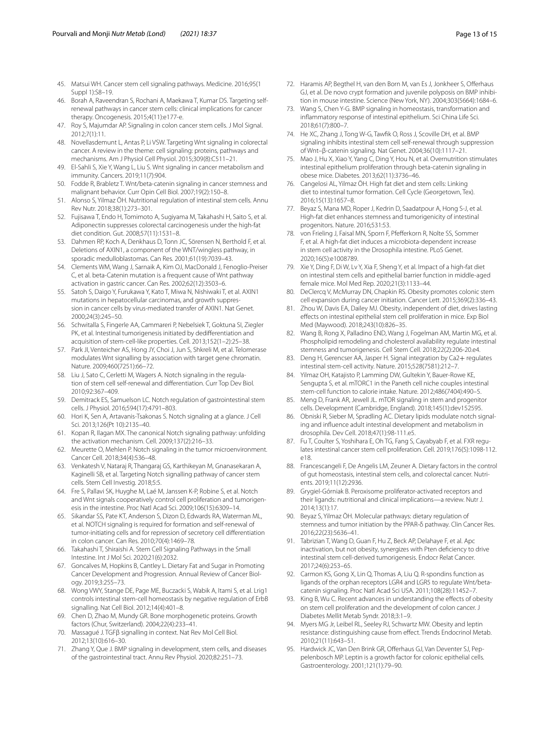- <span id="page-12-0"></span>45. Matsui WH. Cancer stem cell signaling pathways. Medicine. 2016;95(1 Suppl 1):S8–19.
- <span id="page-12-1"></span>46. Borah A, Raveendran S, Rochani A, Maekawa T, Kumar DS. Targeting selfrenewal pathways in cancer stem cells: clinical implications for cancer therapy. Oncogenesis. 2015;4(11):e177-e.
- 47. Roy S, Majumdar AP. Signaling in colon cancer stem cells. J Mol Signal. 2012;7(1):11.
- <span id="page-12-6"></span>48. Novellasdemunt L, Antas P, Li VSW. Targeting Wnt signaling in colorectal cancer. A review in the theme: cell signaling: proteins, pathways and mechanisms. Am J Physiol Cell Physiol. 2015;309(8):C511–21.
- <span id="page-12-5"></span>49. El-Sahli S, Xie Y, Wang L, Liu S. Wnt signaling in cancer metabolism and immunity. Cancers. 2019;11(7):904.
- <span id="page-12-2"></span>50. Fodde R, Brabletz T. Wnt/beta-catenin signaling in cancer stemness and malignant behavior. Curr Opin Cell Biol. 2007;19(2):150–8.
- <span id="page-12-3"></span>51. Alonso S, Yilmaz ÖH. Nutritional regulation of intestinal stem cells. Annu Rev Nutr. 2018;38(1):273–301.
- <span id="page-12-4"></span>52. Fujisawa T, Endo H, Tomimoto A, Sugiyama M, Takahashi H, Saito S, et al. Adiponectin suppresses colorectal carcinogenesis under the high-fat diet condition. Gut. 2008;57(11):1531–8.
- <span id="page-12-7"></span>53. Dahmen RP, Koch A, Denkhaus D, Tonn JC, Sörensen N, Berthold F, et al. Deletions of AXIN1, a component of the WNT/wingless pathway, in sporadic medulloblastomas. Can Res. 2001;61(19):7039–43.
- 54. Clements WM, Wang J, Sarnaik A, Kim OJ, MacDonald J, Fenoglio-Preiser C, et al. beta-Catenin mutation is a frequent cause of Wnt pathway activation in gastric cancer. Can Res. 2002;62(12):3503–6.
- <span id="page-12-8"></span>Satoh S, Daigo Y, Furukawa Y, Kato T, Miwa N, Nishiwaki T, et al. AXIN1 mutations in hepatocellular carcinomas, and growth suppression in cancer cells by virus-mediated transfer of AXIN1. Nat Genet. 2000;24(3):245–50.
- <span id="page-12-9"></span>56. Schwitalla S, Fingerle AA, Cammareri P, Nebelsiek T, Goktuna SI, Ziegler PK, et al. Intestinal tumorigenesis initiated by dedifferentiation and acquisition of stem-cell-like properties. Cell. 2013;152(1–2):25–38.
- <span id="page-12-10"></span>57. Park JI, Venteicher AS, Hong JY, Choi J, Jun S, Shkreli M, et al. Telomerase modulates Wnt signalling by association with target gene chromatin. Nature. 2009;460(7251):66–72.
- <span id="page-12-11"></span>Liu J, Sato C, Cerletti M, Wagers A. Notch signaling in the regulation of stem cell self-renewal and diferentiation. Curr Top Dev Biol. 2010;92:367–409.
- <span id="page-12-12"></span>59. Demitrack ES, Samuelson LC. Notch regulation of gastrointestinal stem cells. J Physiol. 2016;594(17):4791–803.
- <span id="page-12-13"></span>60. Hori K, Sen A, Artavanis-Tsakonas S. Notch signaling at a glance. J Cell Sci. 2013;126(Pt 10):2135–40.
- <span id="page-12-14"></span>61. Kopan R, Ilagan MX. The canonical Notch signaling pathway: unfolding the activation mechanism. Cell. 2009;137(2):216–33.
- 62. Meurette O, Mehlen P. Notch signaling in the tumor microenvironment. Cancer Cell. 2018;34(4):536–48.
- <span id="page-12-15"></span>63. Venkatesh V, Nataraj R, Thangaraj GS, Karthikeyan M, Gnanasekaran A, Kaginelli SB, et al. Targeting Notch signalling pathway of cancer stem cells. Stem Cell Investig. 2018;5:5.
- <span id="page-12-16"></span>64. Fre S, Pallavi SK, Huyghe M, Laé M, Janssen K-P, Robine S, et al. Notch and Wnt signals cooperatively control cell proliferation and tumorigenesis in the intestine. Proc Natl Acad Sci. 2009;106(15):6309–14.
- <span id="page-12-17"></span>65. Sikandar SS, Pate KT, Anderson S, Dizon D, Edwards RA, Waterman ML, et al. NOTCH signaling is required for formation and self-renewal of tumor-initiating cells and for repression of secretory cell diferentiation in colon cancer. Can Res. 2010;70(4):1469–78.
- <span id="page-12-18"></span>66. Takahashi T, Shiraishi A. Stem Cell Signaling Pathways in the Small Intestine. Int J Mol Sci. 2020;21(6):2032.
- <span id="page-12-19"></span>67. Goncalves M, Hopkins B, Cantley L. Dietary Fat and Sugar in Promoting Cancer Development and Progression. Annual Review of Cancer Biology. 2019;3:255–73.
- <span id="page-12-20"></span>68. Wong VWY, Stange DE, Page ME, Buczacki S, Wabik A, Itami S, et al. Lrig1 controls intestinal stem-cell homeostasis by negative regulation of ErbB signalling. Nat Cell Biol. 2012;14(4):401–8.
- <span id="page-12-21"></span>69. Chen D, Zhao M, Mundy GR. Bone morphogenetic proteins. Growth factors (Chur, Switzerland). 2004;22(4):233–41.
- <span id="page-12-22"></span>70. Massagué J. TGFβ signalling in context. Nat Rev Mol Cell Biol. 2012;13(10):616–30.
- <span id="page-12-23"></span>71. Zhang Y, Que J. BMP signaling in development, stem cells, and diseases of the gastrointestinal tract. Annu Rev Physiol. 2020;82:251–73.
- <span id="page-12-24"></span>72. Haramis AP, Begthel H, van den Born M, van Es J, Jonkheer S, Oferhaus GJ, et al. De novo crypt formation and juvenile polyposis on BMP inhibition in mouse intestine. Science (New York, NY). 2004;303(5664):1684–6.
- <span id="page-12-25"></span>73. Wang S, Chen Y-G. BMP signaling in homeostasis, transformation and infammatory response of intestinal epithelium. Sci China Life Sci. 2018;61(7):800–7.
- <span id="page-12-26"></span>74. He XC, Zhang J, Tong W-G, Tawfk O, Ross J, Scoville DH, et al. BMP signaling inhibits intestinal stem cell self-renewal through suppression of Wnt–β-catenin signaling. Nat Genet. 2004;36(10):1117–21.
- <span id="page-12-27"></span>75. Mao J, Hu X, Xiao Y, Yang C, Ding Y, Hou N, et al. Overnutrition stimulates intestinal epithelium proliferation through beta-catenin signaling in obese mice. Diabetes. 2013;62(11):3736–46.
- <span id="page-12-28"></span>76. Cangelosi AL, Yilmaz ÖH. High fat diet and stem cells: Linking diet to intestinal tumor formation. Cell Cycle (Georgetown, Tex). 2016;15(13):1657–8.
- <span id="page-12-30"></span>77. Beyaz S, Mana MD, Roper J, Kedrin D, Saadatpour A, Hong S-J, et al. High-fat diet enhances stemness and tumorigenicity of intestinal progenitors. Nature. 2016;531:53.
- <span id="page-12-36"></span>78. von Frieling J, Faisal MN, Sporn F, Pfeferkorn R, Nolte SS, Sommer F, et al. A high-fat diet induces a microbiota-dependent increase in stem cell activity in the Drosophila intestine. PLoS Genet. 2020;16(5):e1008789.
- <span id="page-12-35"></span>79. Xie Y, Ding F, Di W, Lv Y, Xia F, Sheng Y, et al. Impact of a high-fat diet on intestinal stem cells and epithelial barrier function in middle-aged female mice. Mol Med Rep. 2020;21(3):1133–44.
- <span id="page-12-34"></span>80. DeClercq V, McMurray DN, Chapkin RS. Obesity promotes colonic stem cell expansion during cancer initiation. Cancer Lett. 2015;369(2):336–43.
- <span id="page-12-29"></span>81. Zhou W, Davis EA, Dailey MJ. Obesity, independent of diet, drives lasting efects on intestinal epithelial stem cell proliferation in mice. Exp Biol Med (Maywood). 2018;243(10):826–35.
- <span id="page-12-31"></span>82. Wang B, Rong X, Palladino END, Wang J, Fogelman AM, Martin MG, et al. Phospholipid remodeling and cholesterol availability regulate intestinal stemness and tumorigenesis. Cell Stem Cell. 2018;22(2):206-20.e4.
- <span id="page-12-32"></span>83. Deng H, Gerencser AA, Jasper H. Signal integration by Ca2+ regulates intestinal stem-cell activity. Nature. 2015;528(7581):212–7.
- <span id="page-12-38"></span>84. Yilmaz OH, Katajisto P, Lamming DW, Gultekin Y, Bauer-Rowe KE, Sengupta S, et al. mTORC1 in the Paneth cell niche couples intestinal stem-cell function to calorie intake. Nature. 2012;486(7404):490–5.
- <span id="page-12-39"></span>85. Meng D, Frank AR, Jewell JL. mTOR signaling in stem and progenitor cells. Development (Cambridge, England). 2018;145(1):dev152595.
- <span id="page-12-40"></span>86. Obniski R, Sieber M, Spradling AC. Dietary lipids modulate notch signaling and infuence adult intestinal development and metabolism in drosophila. Dev Cell. 2018;47(1):98-111.e5.
- <span id="page-12-37"></span>87. Fu T, Coulter S, Yoshihara E, Oh TG, Fang S, Cayabyab F, et al. FXR regulates intestinal cancer stem cell proliferation. Cell. 2019;176(5):1098-112. e18.
- <span id="page-12-41"></span>88. Francescangeli F, De Angelis LM, Zeuner A. Dietary factors in the control of gut homeostasis, intestinal stem cells, and colorectal cancer. Nutrients. 2019;11(12):2936.
- <span id="page-12-42"></span>Grygiel-Górniak B. Peroxisome proliferator-activated receptors and their ligands: nutritional and clinical implications—a review. Nutr J. 2014;13(1):17.
- <span id="page-12-43"></span>90. Beyaz S, Yilmaz ÖH. Molecular pathways: dietary regulation of stemness and tumor initiation by the PPAR-δ pathway. Clin Cancer Res. 2016;22(23):5636–41.
- <span id="page-12-33"></span>91. Tabrizian T, Wang D, Guan F, Hu Z, Beck AP, Delahaye F, et al. Apc inactivation, but not obesity, synergizes with Pten defciency to drive intestinal stem cell-derived tumorigenesis. Endocr Relat Cancer. 2017;24(6):253–65.
- <span id="page-12-44"></span>92. Carmon KS, Gong X, Lin Q, Thomas A, Liu Q. R-spondins function as ligands of the orphan receptors LGR4 and LGR5 to regulate Wnt/betacatenin signaling. Proc Natl Acad Sci USA. 2011;108(28):11452–7.
- <span id="page-12-45"></span>93. King B, Wu C. Recent advances in understanding the effects of obesity on stem cell proliferation and the development of colon cancer. J Diabetes Mellit Metab Syndr. 2018;3:1–9.
- <span id="page-12-46"></span>94. Myers MG Jr, Leibel RL, Seeley RJ, Schwartz MW. Obesity and leptin resistance: distinguishing cause from efect. Trends Endocrinol Metab. 2010;21(11):643–51.
- <span id="page-12-47"></span>95. Hardwick JC, Van Den Brink GR, Offerhaus GJ, Van Deventer SJ, Peppelenbosch MP. Leptin is a growth factor for colonic epithelial cells. Gastroenterology. 2001;121(1):79–90.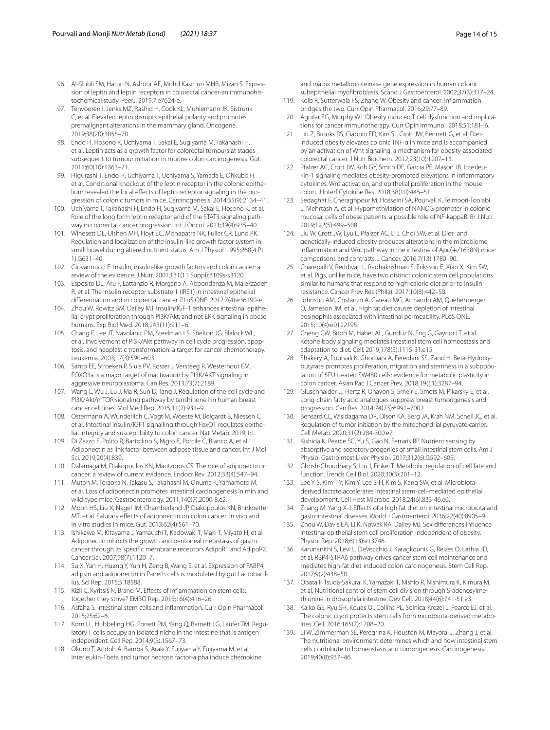- <span id="page-13-4"></span>96. Al-Shibli SM, Harun N, Ashour AE, Mohd Kasmuri MHB, Mizan S. Expression of leptin and leptin receptors in colorectal cancer-an immunohistochemical study. PeerJ. 2019;7:e7624-e.
- <span id="page-13-5"></span>97. Tenvooren I, Jenks MZ, Rashid H, Cook KL, Muhlemann JK, Sistrunk C, et al. Elevated leptin disrupts epithelial polarity and promotes premalignant alterations in the mammary gland. Oncogene. 2019;38(20):3855–70.
- <span id="page-13-6"></span>98. Endo H, Hosono K, Uchiyama T, Sakai E, Sugiyama M, Takahashi H, et al. Leptin acts as a growth factor for colorectal tumours at stages subsequent to tumour initiation in murine colon carcinogenesis. Gut. 2011;60(10):1363–71.
- <span id="page-13-7"></span>99. Higurashi T, Endo H, Uchiyama T, Uchiyama S, Yamada E, Ohkubo H, et al. Conditional knockout of the leptin receptor in the colonic epithelium revealed the local effects of leptin receptor signaling in the progression of colonic tumors in mice. Carcinogenesis. 2014;35(9):2134–41.
- <span id="page-13-8"></span>100. Uchiyama T, Takahashi H, Endo H, Sugiyama M, Sakai E, Hosono K, et al. Role of the long form leptin receptor and of the STAT3 signaling pathway in colorectal cancer progression. Int J Oncol. 2011;39(4):935–40.
- <span id="page-13-9"></span>101. Winesett DE, Ulshen MH, Hoyt EC, Mohapatra NK, Fuller CR, Lund PK. Regulation and localization of the insulin-like growth factor system in small bowel during altered nutrient status. Am J Physiol. 1995;268(4 Pt 1):G631–40.
- <span id="page-13-10"></span>102. Giovannucci E. Insulin, insulin-like growth factors and colon cancer: a review of the evidence. J Nutr. 2001;131(11 Suppl):3109s-s3120.
- <span id="page-13-11"></span>103. Esposito DL, Aru F, Lattanzio R, Morgano A, Abbondanza M, Malekzadeh R, et al. The insulin receptor substrate 1 (IRS1) in intestinal epithelial diferentiation and in colorectal cancer. PLoS ONE. 2012;7(4):e36190-e.
- <span id="page-13-12"></span>104. Zhou W, Rowitz BM, Dailey MJ. Insulin/IGF-1 enhances intestinal epithelial crypt proliferation through PI3K/Akt, and not ERK signaling in obese humans. Exp Biol Med. 2018;243(11):911–6.
- <span id="page-13-13"></span>105. Chang F, Lee JT, Navolanic PM, Steelman LS, Shelton JG, Blalock WL, et al. Involvement of PI3K/Akt pathway in cell cycle progression, apoptosis, and neoplastic transformation: a target for cancer chemotherapy. Leukemia. 2003;17(3):590–603.
- <span id="page-13-14"></span>106. Santo EE, Stroeken P, Sluis PV, Koster J, Versteeg R, Westerhout EM. FOXO3a is a major target of inactivation by PI3K/AKT signaling in aggressive neuroblastoma. Can Res. 2013;73(7):2189.
- <span id="page-13-15"></span>107. Wang L, Wu J, Lu J, Ma R, Sun D, Tang J. Regulation of the cell cycle and PI3K/Akt/mTOR signaling pathway by tanshinone I in human breast cancer cell lines. Mol Med Rep. 2015;11(2):931–9.
- <span id="page-13-16"></span>108. Ostermann A, Wunderlich C, Vogt M, Woeste M, Belgardt B, Niessen C, et al. Intestinal insulin/IGF1 signalling through FoxO1 regulates epithelial integrity and susceptibility to colon cancer. Nat Metab. 2019;1:1.
- <span id="page-13-17"></span>109. Di Zazzo E, Polito R, Bartollino S, Nigro E, Porcile C, Bianco A, et al. Adiponectin as link factor between adipose tissue and cancer. Int J Mol Sci. 2019;20(4):839.
- <span id="page-13-18"></span>110. Dalamaga M, Diakopoulos KN, Mantzoros CS. The role of adiponectin in cancer: a review of current evidence. Endocr Rev. 2012;33(4):547–94.
- <span id="page-13-19"></span>111. Mutoh M, Teraoka N, Takasu S, Takahashi M, Onuma K, Yamamoto M, et al. Loss of adiponectin promotes intestinal carcinogenesis in min and wild-type mice. Gastroenterology. 2011;140(7):2000-8.e2.
- 112. Moon HS, Liu X, Nagel JM, Chamberland JP, Diakopoulos KN, Brinkoetter MT, et al. Salutary efects of adiponectin on colon cancer: in vivo and in vitro studies in mice. Gut. 2013;62(4):561–70.
- <span id="page-13-20"></span>113. Ishikawa M, Kitayama J, Yamauchi T, Kadowaki T, Maki T, Miyato H, et al. Adiponectin inhibits the growth and peritoneal metastasis of gastric cancer through its specifc membrane receptors AdipoR1 and AdipoR2. Cancer Sci. 2007;98(7):1120–7.
- <span id="page-13-21"></span>114. Su X, Yan H, Huang Y, Yun H, Zeng B, Wang E, et al. Expression of FABP4, adipsin and adiponectin in Paneth cells is modulated by gut Lactobacillus. Sci Rep. 2015;5:18588.
- <span id="page-13-22"></span>115. Kizil C, Kyritsis N, Brand M. Efects of infammation on stem cells: together they strive? EMBO Rep. 2015;16(4):416–26.
- <span id="page-13-23"></span>116. Asfaha S. Intestinal stem cells and infammation. Curr Opin Pharmacol. 2015;25:62–6.
- <span id="page-13-24"></span>117. Korn LL, Hubbeling HG, Porrett PM, Yang Q, Barnett LG, Laufer TM. Regulatory T cells occupy an isolated niche in the intestine that is antigen independent. Cell Rep. 2014;9(5):1567–73.
- <span id="page-13-25"></span>118. Okuno T, Andoh A, Bamba S, Araki Y, Fujiyama Y, Fujiyama M, et al. Interleukin-1beta and tumor necrosis factor-alpha induce chemokine

and matrix metalloproteinase gene expression in human colonic subepithelial myofbroblasts. Scand J Gastroenterol. 2002;37(3):317–24.

- <span id="page-13-26"></span>119. Kolb R, Sutterwala FS, Zhang W. Obesity and cancer: infammation bridges the two. Curr Opin Pharmacol. 2016;29:77–89.
- <span id="page-13-27"></span>120. Aguilar EG, Murphy WJ. Obesity induced T cell dysfunction and implications for cancer immunotherapy. Curr Opin Immunol. 2018;51:181–6.
- <span id="page-13-28"></span>121. Liu Z, Brooks RS, Ciappio ED, Kim SJ, Crott JW, Bennett G, et al. Dietinduced obesity elevates colonic TNF-α in mice and is accompanied by an activation of Wnt signaling: a mechanism for obesity-associated colorectal cancer. J Nutr Biochem. 2012;23(10):1207–13.
- 122. Pfalzer AC, Crott JW, Koh GY, Smith DE, Garcia PE, Mason JB. Interleukin-1 signaling mediates obesity-promoted elevations in infammatory cytokines, Wnt activation, and epithelial proliferation in the mouse colon. J Interf Cytokine Res. 2018;38(10):445–51.
- <span id="page-13-29"></span>123. Sedaghat F, Cheraghpour M, Hosseini SA, Pourvali K, Teimoori-Toolabi L, Mehrtash A, et al. Hypomethylation of NANOG promoter in colonic mucosal cells of obese patients: a possible role of NF-kappaB. Br J Nutr. 2019;122(5):499–508.
- <span id="page-13-30"></span>124. Liu W, Crott JW, Lyu L, Pfalzer AC, Li J, Choi SW, et al. Diet- and genetically-induced obesity produces alterations in the microbiome, infammation and Wnt pathway in the intestine of Apc(+/1638N) mice: comparisons and contrasts. J Cancer. 2016;7(13):1780–90.
- <span id="page-13-0"></span>125. Charepalli V, Reddivari L, Radhakrishnan S, Eriksson E, Xiao X, Kim SW, et al. Pigs, unlike mice, have two distinct colonic stem cell populations similar to humans that respond to high-calorie diet prior to insulin resistance. Cancer Prev Res (Phila). 2017;10(8):442–50.
- <span id="page-13-31"></span>126. Johnson AM, Costanzo A, Gareau MG, Armando AM, Quehenberger O, Jameson JM, et al. High fat diet causes depletion of intestinal eosinophils associated with intestinal permeability. PLoS ONE. 2015;10(4):e0122195.
- <span id="page-13-32"></span>127. Cheng CW, Biton M, Haber AL, Gunduz N, Eng G, Gaynor LT, et al. Ketone body signaling mediates intestinal stem cell homeostasis and adaptation to diet. Cell. 2019;178(5):1115-31.e15.
- <span id="page-13-33"></span>128. Shakery A, Pourvali K, Ghorbani A, Fereidani SS, Zand H. Beta-Hydroxybutyrate promotes proliferation, migration and stemness in a subpopulation of 5FU treated SW480 cells: evidence for metabolic plasticity in colon cancer. Asian Pac J Cancer Prev. 2018;19(11):3287–94.
- <span id="page-13-34"></span>129. Gluschnaider U, Hertz R, Ohayon S, Smeir E, Smets M, Pikarsky E, et al. Long-chain fatty acid analogues suppress breast tumorigenesis and progression. Can Res. 2014;74(23):6991–7002.
- <span id="page-13-35"></span>130. Bensard CL, Wisidagama DR, Olson KA, Berg JA, Krah NM, Schell JC, et al. Regulation of tumor initiation by the mitochondrial pyruvate carrier. Cell Metab. 2020;31(2):284-300.e7.
- <span id="page-13-36"></span>131. Kishida K, Pearce SC, Yu S, Gao N, Ferraris RP. Nutrient sensing by absorptive and secretory progenies of small intestinal stem cells. Am J Physiol Gastrointest Liver Physiol. 2017;312(6):G592–605.
- <span id="page-13-37"></span>132. Ghosh-Choudhary S, Liu J, Finkel T. Metabolic regulation of cell fate and function. Trends Cell Biol. 2020;30(3):201–12.
- <span id="page-13-38"></span>133. Lee Y-S, Kim T-Y, Kim Y, Lee S-H, Kim S, Kang SW, et al. Microbiotaderived lactate accelerates intestinal stem-cell-mediated epithelial development. Cell Host Microbe. 2018;24(6):833-46.e6.
- <span id="page-13-39"></span>134. Zhang M, Yang X-J. Efects of a high fat diet on intestinal microbiota and gastrointestinal diseases. World J Gastroenterol. 2016;22(40):8905–9.
- <span id="page-13-1"></span>135. Zhou W, Davis EA, Li K, Nowak RA, Dailey MJ. Sex diferences infuence intestinal epithelial stem cell proliferation independent of obesity. Physiol Rep. 2018;6(13):e13746.
- <span id="page-13-3"></span>136. Karunanithi S, Levi L, DeVecchio J, Karagkounis G, Reizes O, Lathia JD, et al. RBP4-STRA6 pathway drives cancer stem cell maintenance and mediates high-fat diet-induced colon carcinogenesis. Stem Cell Rep. 2017;9(2):438–50.
- <span id="page-13-40"></span>137. Obata F, Tsuda-Sakurai K, Yamazaki T, Nishio R, Nishimura K, Kimura M, et al. Nutritional control of stem cell division through S-adenosylmethionine in drosophila intestine. Dev Cell. 2018;44(6):741-51.e3.
- <span id="page-13-41"></span>138. Kaiko GE, Ryu SH, Koues OI, Collins PL, Solnica-Krezel L, Pearce EJ, et al. The colonic crypt protects stem cells from microbiota-derived metabolites. Cell. 2016;165(7):1708–20.
- <span id="page-13-2"></span>139. Li W, Zimmerman SE, Peregrina K, Houston M, Mayoral J, Zhang J, et al. The nutritional environment determines which and how intestinal stem cells contribute to homeostasis and tumorigenesis. Carcinogenesis. 2019;40(8):937–46.